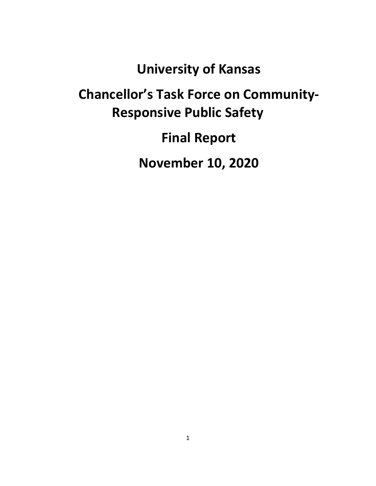**University of Kansas**

# **Chancellor's Task Force on Community-Responsive Public Safety**

**Final Report**

**November 10, 2020**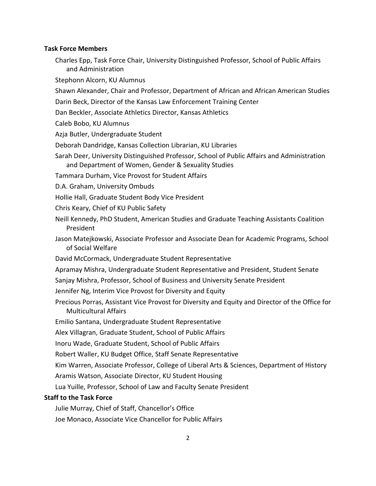#### **Task Force Members**

Charles Epp, Task Force Chair, University Distinguished Professor, School of Public Affairs and Administration

Stephonn Alcorn, KU Alumnus

- Shawn Alexander, Chair and Professor, Department of African and African American Studies
- Darin Beck, Director of the Kansas Law Enforcement Training Center
- Dan Beckler, Associate Athletics Director, Kansas Athletics
- Caleb Bobo, KU Alumnus
- Azja Butler, Undergraduate Student
- Deborah Dandridge, Kansas Collection Librarian, KU Libraries
- Sarah Deer, University Distinguished Professor, School of Public Affairs and Administration and Department of Women, Gender & Sexuality Studies
- Tammara Durham, Vice Provost for Student Affairs
- D.A. Graham, University Ombuds
- Hollie Hall, Graduate Student Body Vice President
- Chris Keary, Chief of KU Public Safety
- Neill Kennedy, PhD Student, American Studies and Graduate Teaching Assistants Coalition President
- Jason Matejkowski, Associate Professor and Associate Dean for Academic Programs, School of Social Welfare
- David McCormack, Undergraduate Student Representative
- Apramay Mishra, Undergraduate Student Representative and President, Student Senate
- Sanjay Mishra, Professor, School of Business and University Senate President
- Jennifer Ng, Interim Vice Provost for Diversity and Equity
- Precious Porras, Assistant Vice Provost for Diversity and Equity and Director of the Office for Multicultural Affairs
- Emilio Santana, Undergraduate Student Representative
- Alex Villagran, Graduate Student, School of Public Affairs
- Inoru Wade, Graduate Student, School of Public Affairs
- Robert Waller, KU Budget Office, Staff Senate Representative
- Kim Warren, Associate Professor, College of Liberal Arts & Sciences, Department of History
- Aramis Watson, Associate Director, KU Student Housing
- Lua Yuille, Professor, School of Law and Faculty Senate President

#### **Staff to the Task Force**

Julie Murray, Chief of Staff, Chancellor's Office

Joe Monaco, Associate Vice Chancellor for Public Affairs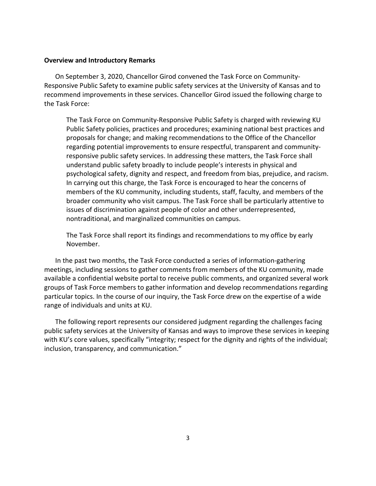## **Overview and Introductory Remarks**

On September 3, 2020, Chancellor Girod convened the Task Force on Community-Responsive Public Safety to examine public safety services at the University of Kansas and to recommend improvements in these services. Chancellor Girod issued the following charge to the Task Force:

The Task Force on Community-Responsive Public Safety is charged with reviewing KU Public Safety policies, practices and procedures; examining national best practices and proposals for change; and making recommendations to the Office of the Chancellor regarding potential improvements to ensure respectful, transparent and communityresponsive public safety services. In addressing these matters, the Task Force shall understand public safety broadly to include people's interests in physical and psychological safety, dignity and respect, and freedom from bias, prejudice, and racism. In carrying out this charge, the Task Force is encouraged to hear the concerns of members of the KU community, including students, staff, faculty, and members of the broader community who visit campus. The Task Force shall be particularly attentive to issues of discrimination against people of color and other underrepresented, nontraditional, and marginalized communities on campus.

The Task Force shall report its findings and recommendations to my office by early November.

In the past two months, the Task Force conducted a series of information-gathering meetings, including sessions to gather comments from members of the KU community, made available a confidential website portal to receive public comments, and organized several work groups of Task Force members to gather information and develop recommendations regarding particular topics. In the course of our inquiry, the Task Force drew on the expertise of a wide range of individuals and units at KU.

The following report represents our considered judgment regarding the challenges facing public safety services at the University of Kansas and ways to improve these services in keeping with KU's core values, specifically "integrity; respect for the dignity and rights of the individual; inclusion, transparency, and communication."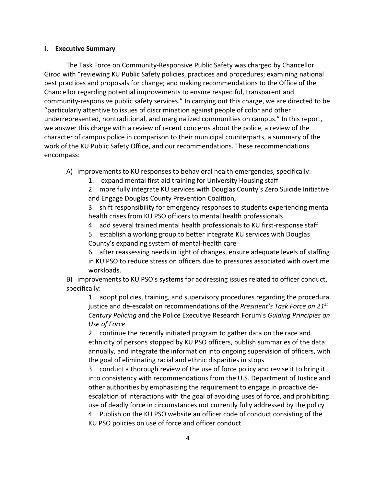# **I. Executive Summary**

The Task Force on Community-Responsive Public Safety was charged by Chancellor Girod with "reviewing KU Public Safety policies, practices and procedures; examining national best practices and proposals for change; and making recommendations to the Office of the Chancellor regarding potential improvements to ensure respectful, transparent and community-responsive public safety services." In carrying out this charge, we are directed to be "particularly attentive to issues of discrimination against people of color and other underrepresented, nontraditional, and marginalized communities on campus." In this report, we answer this charge with a review of recent concerns about the police, a review of the character of campus police in comparison to their municipal counterparts, a summary of the work of the KU Public Safety Office, and our recommendations. These recommendations encompass:

- A) improvements to KU responses to behavioral health emergencies, specifically:
	- 1. expand mental first aid training for University Housing staff
	- 2. more fully integrate KU services with Douglas County's Zero Suicide Initiative and Engage Douglas County Prevention Coalition,

3. shift responsibility for emergency responses to students experiencing mental health crises from KU PSO officers to mental health professionals

- 4. add several trained mental health professionals to KU first-response staff
- 5. establish a working group to better integrate KU services with Douglas County's expanding system of mental-health care

6. after reassessing needs in light of changes, ensure adequate levels of staffing in KU PSO to reduce stress on officers due to pressures associated with overtime workloads.

B) improvements to KU PSO's systems for addressing issues related to officer conduct, specifically:

1. adopt policies, training, and supervisory procedures regarding the procedural justice and de-escalation recommendations of the *President's Task Force on 21st Century Policing* and the Police Executive Research Forum's *Guiding Principles on Use of Force*

2. continue the recently initiated program to gather data on the race and ethnicity of persons stopped by KU PSO officers, publish summaries of the data annually, and integrate the information into ongoing supervision of officers, with the goal of eliminating racial and ethnic disparities in stops

3. conduct a thorough review of the use of force policy and revise it to bring it into consistency with recommendations from the U.S. Department of Justice and other authorities by emphasizing the requirement to engage in proactive deescalation of interactions with the goal of avoiding uses of force, and prohibiting use of deadly force in circumstances not currently fully addressed by the policy 4. Publish on the KU PSO website an officer code of conduct consisting of the KU PSO policies on use of force and officer conduct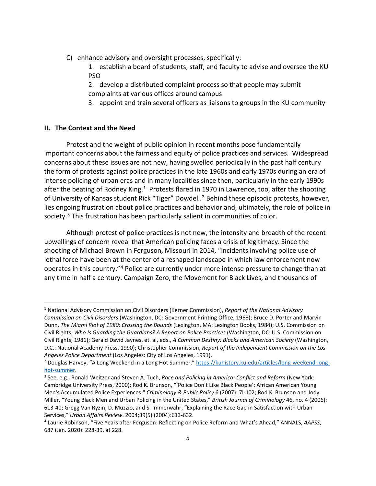- C) enhance advisory and oversight processes, specifically:
	- 1. establish a board of students, staff, and faculty to advise and oversee the KU PSO
	- 2. develop a distributed complaint process so that people may submit complaints at various offices around campus
	- 3. appoint and train several officers as liaisons to groups in the KU community

# **II. The Context and the Need**

Protest and the weight of public opinion in recent months pose fundamentally important concerns about the fairness and equity of police practices and services. Widespread concerns about these issues are not new, having swelled periodically in the past half century the form of protests against police practices in the late 1960s and early 1970s during an era of intense policing of urban eras and in many localities since then, particularly in the early 1990s after the beating of Rodney King.<sup>[1](#page-4-0)</sup> Protests flared in 1970 in Lawrence, too, after the shooting of University of Kansas student Rick "Tiger" Dowdell.<sup>[2](#page-4-1)</sup> Behind these episodic protests, however, lies ongoing frustration about police practices and behavior and, ultimately, the role of police in society. [3](#page-4-2) This frustration has been particularly salient in communities of color.

Although protest of police practices is not new, the intensity and breadth of the recent upwellings of concern reveal that American policing faces a crisis of legitimacy. Since the shooting of Michael Brown in Ferguson, Missouri in 2014, "incidents involving police use of lethal force have been at the center of a reshaped landscape in which law enforcement now operates in this country."[4](#page-4-3) Police are currently under more intense pressure to change than at any time in half a century. Campaign Zero, the Movement for Black Lives, and thousands of

<span id="page-4-0"></span><sup>1</sup> National Advisory Commission on Civil Disorders (Kerner Commission), *Report of the National Advisory Commission on Civil Disorders* (Washington, DC: Government Printing Office, 1968); Bruce D. Porter and Marvin Dunn, *The Miami Riot of 1980: Crossing the Bounds* (Lexington, MA: Lexington Books, 1984); U.S. Commission on Civil Rights, *Who Is Guarding the Guardians? A Report on Police Practices* (Washington, DC: U.S. Commission on Civil Rights, 1981); Gerald David Jaynes, et. al, eds., *A Common Destiny: Blacks and American Society* (Washington, D.C.: National Academy Press, 1990); Christopher Commission, *Report of the Independent Commission on the Los Angeles Police Department* (Los Angeles: City of Los Angeles, 1991).

<span id="page-4-1"></span><sup>2</sup> Douglas Harvey, "A Long Weekend in a Long Hot Summer,[" https://kuhistory.ku.edu/articles/long-weekend-long](https://kuhistory.ku.edu/articles/long-weekend-long-hot-summer)[hot-summer.](https://kuhistory.ku.edu/articles/long-weekend-long-hot-summer)

<span id="page-4-2"></span><sup>3</sup> See, e.g., Ronald Weitzer and Steven A. Tuch, *Race and Policing in America: Conflict and Reform* (New York: Cambridge University Press, 2000); Rod K. Brunson, "'Police Don't Like Black People': African American Young Men's Accumulated Police Experiences." *Criminology & Public Policy* 6 (2007): 7I- I02; Rod K. Brunson and Jody Miller, "Young Black Men and Urban Policing in the United States," *British Journal of Criminology* 46, no. 4 (2006): 613-40; Gregg Van Ryzin, D. Muzzio, and S. Immerwahr, "Explaining the Race Gap in Satisfaction with Urban Services," *Urban Affairs Review*. 2004;39(5) (2004):613-632.

<span id="page-4-3"></span><sup>4</sup> Laurie Robinson, "Five Years after Ferguson: Reflecting on Police Reform and What's Ahead," ANNALS, *AAPSS*, 687 (Jan. 2020): 228-39, at 228.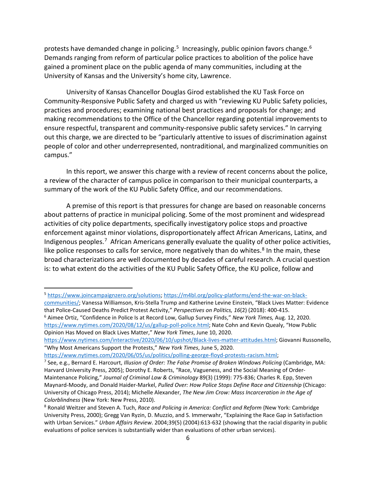protests have demanded change in policing.<sup>[5](#page-5-0)</sup> Increasingly, public opinion favors change.<sup>[6](#page-5-1)</sup> Demands ranging from reform of particular police practices to abolition of the police have gained a prominent place on the public agenda of many communities, including at the University of Kansas and the University's home city, Lawrence.

University of Kansas Chancellor Douglas Girod established the KU Task Force on Community-Responsive Public Safety and charged us with "reviewing KU Public Safety policies, practices and procedures; examining national best practices and proposals for change; and making recommendations to the Office of the Chancellor regarding potential improvements to ensure respectful, transparent and community-responsive public safety services." In carrying out this charge, we are directed to be "particularly attentive to issues of discrimination against people of color and other underrepresented, nontraditional, and marginalized communities on campus."

In this report, we answer this charge with a review of recent concerns about the police, a review of the character of campus police in comparison to their municipal counterparts, a summary of the work of the KU Public Safety Office, and our recommendations.

A premise of this report is that pressures for change are based on reasonable concerns about patterns of practice in municipal policing. Some of the most prominent and widespread activities of city police departments, specifically investigatory police stops and proactive enforcement against minor violations, disproportionately affect African Americans, Latinx, and Indigenous peoples.[7](#page-5-2) African Americans generally evaluate the quality of other police activities, like police responses to calls for service, more negatively than do whites.<sup>[8](#page-5-3)</sup> In the main, these broad characterizations are well documented by decades of careful research. A crucial question is: to what extent do the activities of the KU Public Safety Office, the KU police, follow and

<span id="page-5-1"></span><sup>6</sup> Aimee Ortiz, "Confidence in Police Is at Record Low, Gallup Survey Finds," *New York Times,* Aug. 12, 2020. [https://www.nytimes.com/2020/08/12/us/gallup-poll-police.html;](https://www.nytimes.com/2020/08/12/us/gallup-poll-police.html) Nate Cohn and Kevin Quealy, "How Public Opinion Has Moved on Black Lives Matter," *New York Times*, June 10, 2020.

[https://www.nytimes.com/interactive/2020/06/10/upshot/Black-lives-matter-attitudes.html;](https://www.nytimes.com/interactive/2020/06/10/upshot/black-lives-matter-attitudes.html) Giovanni Russonello, "Why Most Americans Support the Protests," *New York Times*, June 5, 2020.

<span id="page-5-0"></span><sup>5</sup> [https://www.joincampaignzero.org/solutions;](https://www.joincampaignzero.org/solutions) [https://m4bl.org/policy-platforms/end-the-war-on-black-](https://m4bl.org/policy-platforms/end-the-war-on-black-communities/)

[communities/;](https://m4bl.org/policy-platforms/end-the-war-on-black-communities/) Vanessa Williamson, Kris-Stella Trump and Katherine Levine Einstein, "Black Lives Matter: Evidence that Police-Caused Deaths Predict Protest Activity," *Perspectives on Politics, 16*(2) (2018): 400-415.

https://www.nytimes.com/2020/06/05/us/politics/polling-george-floyd-protests-racism.html;<br><sup>7</sup> See, e.g., Bernard E. Harcourt, *Illusion of Order: The False Promise of Broken Windows Policing* (Cambridge, MA:

<span id="page-5-2"></span>Harvard University Press, 2005); Dorothy E. Roberts, "Race, Vagueness, and the Social Meaning of Order-Maintenance Policing," *Journal of Criminal Law & Criminology* 89(3) (1999): 775-836; Charles R. Epp, Steven Maynard-Moody, and Donald Haider-Markel, *Pulled Over: How Police Stops Define Race and Citizenship* (Chicago: University of Chicago Press, 2014); Michelle Alexander, *The New Jim Crow: Mass Incarceration in the Age of Colorblindness* (New York: New Press, 2010).

<span id="page-5-3"></span><sup>8</sup> Ronald Weitzer and Steven A. Tuch, *Race and Policing in America: Conflict and Reform* (New York: Cambridge University Press, 2000); Gregg Van Ryzin, D. Muzzio, and S. Immerwahr, "Explaining the Race Gap in Satisfaction with Urban Services." *Urban Affairs Review*. 2004;39(5) (2004):613-632 (showing that the racial disparity in public evaluations of police services is substantially wider than evaluations of other urban services).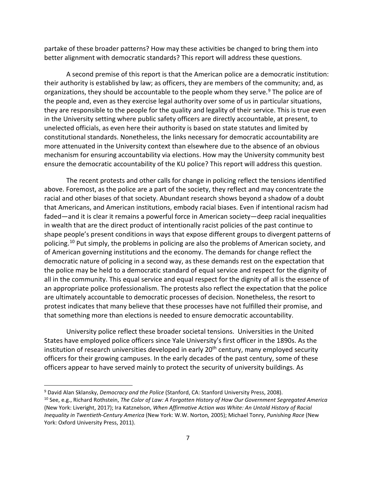partake of these broader patterns? How may these activities be changed to bring them into better alignment with democratic standards? This report will address these questions.

A second premise of this report is that the American police are a democratic institution: their authority is established by law; as officers, they are members of the community; and, as organizations, they should be accountable to the people whom they serve.<sup>[9](#page-6-0)</sup> The police are of the people and, even as they exercise legal authority over some of us in particular situations, they are responsible to the people for the quality and legality of their service. This is true even in the University setting where public safety officers are directly accountable, at present, to unelected officials, as even here their authority is based on state statutes and limited by constitutional standards. Nonetheless, the links necessary for democratic accountability are more attenuated in the University context than elsewhere due to the absence of an obvious mechanism for ensuring accountability via elections. How may the University community best ensure the democratic accountability of the KU police? This report will address this question.

The recent protests and other calls for change in policing reflect the tensions identified above. Foremost, as the police are a part of the society, they reflect and may concentrate the racial and other biases of that society. Abundant research shows beyond a shadow of a doubt that Americans, and American institutions, embody racial biases. Even if intentional racism had faded—and it is clear it remains a powerful force in American society—deep racial inequalities in wealth that are the direct product of intentionally racist policies of the past continue to shape people's present conditions in ways that expose different groups to divergent patterns of policing.<sup>[10](#page-6-1)</sup> Put simply, the problems in policing are also the problems of American society, and of American governing institutions and the economy. The demands for change reflect the democratic nature of policing in a second way, as these demands rest on the expectation that the police may be held to a democratic standard of equal service and respect for the dignity of all in the community. This equal service and equal respect for the dignity of all is the essence of an appropriate police professionalism. The protests also reflect the expectation that the police are ultimately accountable to democratic processes of decision. Nonetheless, the resort to protest indicates that many believe that these processes have not fulfilled their promise, and that something more than elections is needed to ensure democratic accountability.

University police reflect these broader societal tensions. Universities in the United States have employed police officers since Yale University's first officer in the 1890s. As the institution of research universities developed in early 20<sup>th</sup> century, many employed security officers for their growing campuses. In the early decades of the past century, some of these officers appear to have served mainly to protect the security of university buildings. As

<span id="page-6-0"></span><sup>9</sup> David Alan Sklansky, *Democracy and the Police* (Stanford, CA: Stanford University Press, 2008).

<span id="page-6-1"></span><sup>10</sup> See, e.g., Richard Rothstein, *The Color of Law: A Forgotten History of How Our Government Segregated America* (New York: Liveright, 2017); Ira Katznelson, *When Affirmative Action was White: An Untold History of Racial Inequality in Twentieth-Century America* (New York: W.W. Norton*,* 2005); Michael Tonry, *Punishing Race* (New York: Oxford University Press, 2011).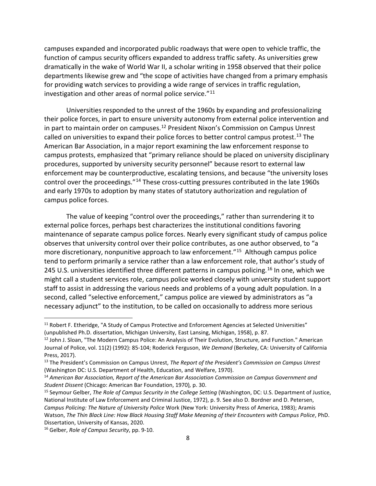campuses expanded and incorporated public roadways that were open to vehicle traffic, the function of campus security officers expanded to address traffic safety. As universities grew dramatically in the wake of World War II, a scholar writing in 1958 observed that their police departments likewise grew and "the scope of activities have changed from a primary emphasis for providing watch services to providing a wide range of services in traffic regulation, investigation and other areas of normal police service." $11$ 

Universities responded to the unrest of the 1960s by expanding and professionalizing their police forces, in part to ensure university autonomy from external police intervention and in part to maintain order on campuses. [12](#page-7-1) President Nixon's Commission on Campus Unrest called on universities to expand their police forces to better control campus protest.<sup>[13](#page-7-2)</sup> The American Bar Association, in a major report examining the law enforcement response to campus protests, emphasized that "primary reliance should be placed on university disciplinary procedures, supported by university security personnel" because resort to external law enforcement may be counterproductive, escalating tensions, and because "the university loses control over the proceedings."[14](#page-7-3) These cross-cutting pressures contributed in the late 1960s and early 1970s to adoption by many states of statutory authorization and regulation of campus police forces.

The value of keeping "control over the proceedings," rather than surrendering it to external police forces, perhaps best characterizes the institutional conditions favoring maintenance of separate campus police forces. Nearly every significant study of campus police observes that university control over their police contributes, as one author observed, to "a more discretionary, nonpunitive approach to law enforcement."<sup>[15](#page-7-4)</sup> Although campus police tend to perform primarily a service rather than a law enforcement role, that author's study of 245 U.S. universities identified three different patterns in campus policing.<sup>[16](#page-7-5)</sup> In one, which we might call a student services role, campus police worked closely with university student support staff to assist in addressing the various needs and problems of a young adult population. In a second, called "selective enforcement," campus police are viewed by administrators as "a necessary adjunct" to the institution, to be called on occasionally to address more serious

<span id="page-7-0"></span><sup>&</sup>lt;sup>11</sup> Robert F. Etheridge, "A Study of Campus Protective and Enforcement Agencies at Selected Universities" (unpublished Ph.D. dissertation, Michigan University, East Lansing, Michigan, 1958), p. 87.

<span id="page-7-1"></span><sup>&</sup>lt;sup>12</sup> John J. Sloan, "The Modern Campus Police: An Analysis of Their Evolution, Structure, and Function." American Journal of Police, vol. 11(2) (1992): 85-104; Roderick Ferguson, *We Demand* (Berkeley, CA: University of California Press, 2017).

<span id="page-7-2"></span><sup>13</sup> The President's Commission on Campus Unrest, *The Report of the President's Commission on Campus Unrest* (Washington DC: U.S. Department of Health, Education, and Welfare, 1970).

<span id="page-7-3"></span><sup>14</sup> *American Bar Association, Report of the American Bar Association Commission on Campus Government and Student Dissent* (Chicago: American Bar Foundation, 1970)*,* p. 30.

<span id="page-7-4"></span><sup>15</sup> Seymour Gelber, *The Role of Campus Security in the College Setting* (Washington, DC: U.S. Department of Justice, National Institute of Law Enforcement and Criminal Justice, 1972), p. 9. See also D. Bordner and D. Petersen, *Campus Policing: The Nature of University Police* Work (New York: University Press of America, 1983); Aramis Watson, *The Thin Black Line: How Black Housing Staff Make Meaning of their Encounters with Campus Police*, PhD. Dissertation, University of Kansas, 2020.

<span id="page-7-5"></span><sup>16</sup> Gelber, *Role of Campus Security*, pp. 9-10.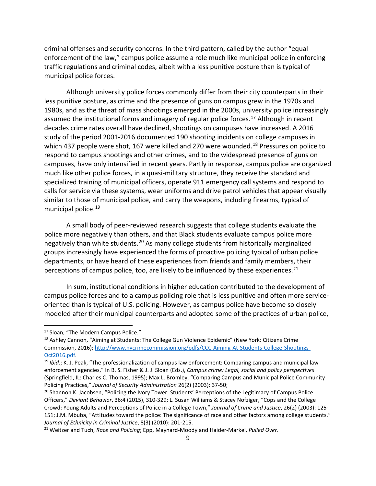criminal offenses and security concerns. In the third pattern, called by the author "equal enforcement of the law," campus police assume a role much like municipal police in enforcing traffic regulations and criminal codes, albeit with a less punitive posture than is typical of municipal police forces.

Although university police forces commonly differ from their city counterparts in their less punitive posture, as crime and the presence of guns on campus grew in the 1970s and 1980s, and as the threat of mass shootings emerged in the 2000s, university police increasingly assumed the institutional forms and imagery of regular police forces.<sup>17</sup> Although in recent decades crime rates overall have declined, shootings on campuses have increased. A 2016 study of the period 2001-2016 documented 190 shooting incidents on college campuses in which 437 people were shot, 167 were killed and 270 were wounded.<sup>[18](#page-8-1)</sup> Pressures on police to respond to campus shootings and other crimes, and to the widespread presence of guns on campuses, have only intensified in recent years. Partly in response, campus police are organized much like other police forces, in a quasi-military structure, they receive the standard and specialized training of municipal officers, operate 911 emergency call systems and respond to calls for service via these systems, wear uniforms and drive patrol vehicles that appear visually similar to those of municipal police, and carry the weapons, including firearms, typical of municipal police. [19](#page-8-2)

A small body of peer-reviewed research suggests that college students evaluate the police more negatively than others, and that Black students evaluate campus police more negatively than white students.[20](#page-8-3) As many college students from historically marginalized groups increasingly have experienced the forms of proactive policing typical of urban police departments, or have heard of these experiences from friends and family members, their perceptions of campus police, too, are likely to be influenced by these experiences. $^{21}$  $^{21}$  $^{21}$ 

In sum, institutional conditions in higher education contributed to the development of campus police forces and to a campus policing role that is less punitive and often more serviceoriented than is typical of U.S. policing. However, as campus police have become so closely modeled after their municipal counterparts and adopted some of the practices of urban police,

<span id="page-8-0"></span><sup>&</sup>lt;sup>17</sup> Sloan, "The Modern Campus Police."

<span id="page-8-1"></span><sup>&</sup>lt;sup>18</sup> Ashley Cannon, "Aiming at Students: The College Gun Violence Epidemic" (New York: Citizens Crime Commission, 2016)[; http://www.nycrimecommission.org/pdfs/CCC-Aiming-At-Students-College-Shootings-](http://www.nycrimecommission.org/pdfs/CCC-Aiming-At-Students-College-Shootings-Oct2016.pdf)[Oct2016.pdf.](http://www.nycrimecommission.org/pdfs/CCC-Aiming-At-Students-College-Shootings-Oct2016.pdf) 19 *Ibid.*; K. J. Peak, "The professionalization of campus law enforcement: Comparing campus and municipal law

<span id="page-8-2"></span>enforcement agencies," In B. S. Fisher & J. J. Sloan (Eds.), *Campus crime: Legal, social and policy perspectives*  (Springfield, IL: Charles C. Thomas, 1995); Max L. Bromley, "Comparing Campus and Municipal Police Community Policing Practices," *Journal of Security Administration* 26(2) (2003): 37-50;<br><sup>20</sup> Shannon K. Jacobsen, "Policing the Ivory Tower: Students' Perceptions of the Legitimacy of Campus Police

<span id="page-8-3"></span>Officers," *Deviant Behavior*, 36:4 (2015), 310-329; L. Susan Williams & Stacey Nofziger, "Cops and the College Crowd: Young Adults and Perceptions of Police in a College Town," *Journal of Crime and Justice*, 26(2) (2003): 125- 151; J.M. Mbuba, "Attitudes toward the police: The significance of race and other factors among college students." *Journal of Ethnicity in Criminal Justice*, 8(3) (2010): 201-215.

<span id="page-8-4"></span><sup>21</sup> Weitzer and Tuch, *Race and Policing*; Epp, Maynard-Moody and Haider-Markel, *Pulled Over*.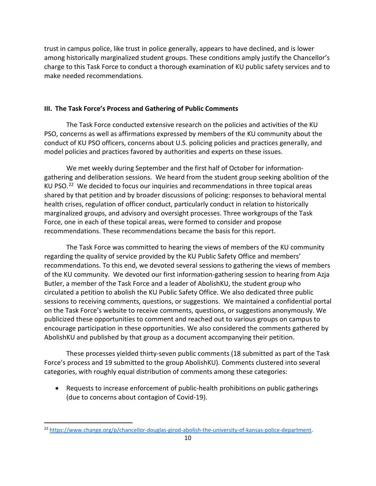trust in campus police, like trust in police generally, appears to have declined, and is lower among historically marginalized student groups. These conditions amply justify the Chancellor's charge to this Task Force to conduct a thorough examination of KU public safety services and to make needed recommendations.

# **III. The Task Force's Process and Gathering of Public Comments**

The Task Force conducted extensive research on the policies and activities of the KU PSO, concerns as well as affirmations expressed by members of the KU community about the conduct of KU PSO officers, concerns about U.S. policing policies and practices generally, and model policies and practices favored by authorities and experts on these issues.

We met weekly during September and the first half of October for informationgathering and deliberation sessions. We heard from the student group seeking abolition of the KU PSO.<sup>[22](#page-9-0)</sup> We decided to focus our inquiries and recommendations in three topical areas shared by that petition and by broader discussions of policing: responses to behavioral mental health crises, regulation of officer conduct, particularly conduct in relation to historically marginalized groups, and advisory and oversight processes. Three workgroups of the Task Force, one in each of these topical areas, were formed to consider and propose recommendations. These recommendations became the basis for this report.

The Task Force was committed to hearing the views of members of the KU community regarding the quality of service provided by the KU Public Safety Office and members' recommendations. To this end, we devoted several sessions to gathering the views of members of the KU community. We devoted our first information-gathering session to hearing from Azja Butler, a member of the Task Force and a leader of AbolishKU, the student group who circulated a petition to abolish the KU Public Safety Office. We also dedicated three public sessions to receiving comments, questions, or suggestions. We maintained a confidential portal on the Task Force's website to receive comments, questions, or suggestions anonymously. We publicized these opportunities to comment and reached out to various groups on campus to encourage participation in these opportunities. We also considered the comments gathered by AbolishKU and published by that group as a document accompanying their petition.

These processes yielded thirty-seven public comments (18 submitted as part of the Task Force's process and 19 submitted to the group AbolishKU). Comments clustered into several categories, with roughly equal distribution of comments among these categories:

• Requests to increase enforcement of public-health prohibitions on public gatherings (due to concerns about contagion of Covid-19).

<span id="page-9-0"></span><sup>22</sup> [https://www.change.org/p/chancellor-douglas-girod-abolish-the-university-of-kansas-police-department.](https://www.change.org/p/chancellor-douglas-girod-abolish-the-university-of-kansas-police-department)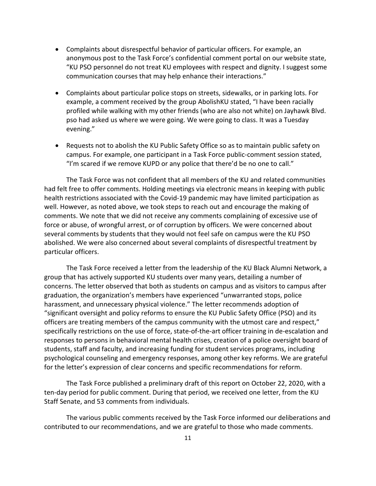- Complaints about disrespectful behavior of particular officers. For example, an anonymous post to the Task Force's confidential comment portal on our website state, "KU PSO personnel do not treat KU employees with respect and dignity. I suggest some communication courses that may help enhance their interactions."
- Complaints about particular police stops on streets, sidewalks, or in parking lots. For example, a comment received by the group AbolishKU stated, "I have been racially profiled while walking with my other friends (who are also not white) on Jayhawk Blvd. pso had asked us where we were going. We were going to class. It was a Tuesday evening."
- Requests not to abolish the KU Public Safety Office so as to maintain public safety on campus. For example, one participant in a Task Force public-comment session stated, "I'm scared if we remove KUPD or any police that there'd be no one to call."

The Task Force was not confident that all members of the KU and related communities had felt free to offer comments. Holding meetings via electronic means in keeping with public health restrictions associated with the Covid-19 pandemic may have limited participation as well. However, as noted above, we took steps to reach out and encourage the making of comments. We note that we did not receive any comments complaining of excessive use of force or abuse, of wrongful arrest, or of corruption by officers. We were concerned about several comments by students that they would not feel safe on campus were the KU PSO abolished. We were also concerned about several complaints of disrespectful treatment by particular officers.

The Task Force received a letter from the leadership of the KU Black Alumni Network, a group that has actively supported KU students over many years, detailing a number of concerns. The letter observed that both as students on campus and as visitors to campus after graduation, the organization's members have experienced "unwarranted stops, police harassment, and unnecessary physical violence." The letter recommends adoption of "significant oversight and policy reforms to ensure the KU Public Safety Office (PSO) and its officers are treating members of the campus community with the utmost care and respect," specifically restrictions on the use of force, state-of-the-art officer training in de-escalation and responses to persons in behavioral mental health crises, creation of a police oversight board of students, staff and faculty, and increasing funding for student services programs, including psychological counseling and emergency responses, among other key reforms. We are grateful for the letter's expression of clear concerns and specific recommendations for reform.

The Task Force published a preliminary draft of this report on October 22, 2020, with a ten-day period for public comment. During that period, we received one letter, from the KU Staff Senate, and 53 comments from individuals.

The various public comments received by the Task Force informed our deliberations and contributed to our recommendations, and we are grateful to those who made comments.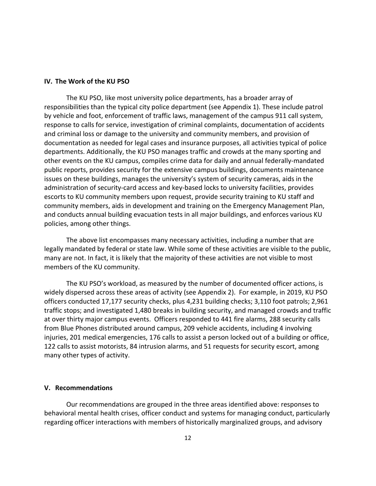# **IV. The Work of the KU PSO**

The KU PSO, like most university police departments, has a broader array of responsibilities than the typical city police department (see Appendix 1). These include patrol by vehicle and foot, enforcement of traffic laws, management of the campus 911 call system, response to calls for service, investigation of criminal complaints, documentation of accidents and criminal loss or damage to the university and community members, and provision of documentation as needed for legal cases and insurance purposes, all activities typical of police departments. Additionally, the KU PSO manages traffic and crowds at the many sporting and other events on the KU campus, compiles crime data for daily and annual federally-mandated public reports, provides security for the extensive campus buildings, documents maintenance issues on these buildings, manages the university's system of security cameras, aids in the administration of security-card access and key-based locks to university facilities, provides escorts to KU community members upon request, provide security training to KU staff and community members, aids in development and training on the Emergency Management Plan, and conducts annual building evacuation tests in all major buildings, and enforces various KU policies, among other things.

The above list encompasses many necessary activities, including a number that are legally mandated by federal or state law. While some of these activities are visible to the public, many are not. In fact, it is likely that the majority of these activities are not visible to most members of the KU community.

The KU PSO's workload, as measured by the number of documented officer actions, is widely dispersed across these areas of activity (see Appendix 2). For example, in 2019, KU PSO officers conducted 17,177 security checks, plus 4,231 building checks; 3,110 foot patrols; 2,961 traffic stops; and investigated 1,480 breaks in building security, and managed crowds and traffic at over thirty major campus events. Officers responded to 441 fire alarms, 288 security calls from Blue Phones distributed around campus, 209 vehicle accidents, including 4 involving injuries, 201 medical emergencies, 176 calls to assist a person locked out of a building or office, 122 calls to assist motorists, 84 intrusion alarms, and 51 requests for security escort, among many other types of activity.

### **V. Recommendations**

Our recommendations are grouped in the three areas identified above: responses to behavioral mental health crises, officer conduct and systems for managing conduct, particularly regarding officer interactions with members of historically marginalized groups, and advisory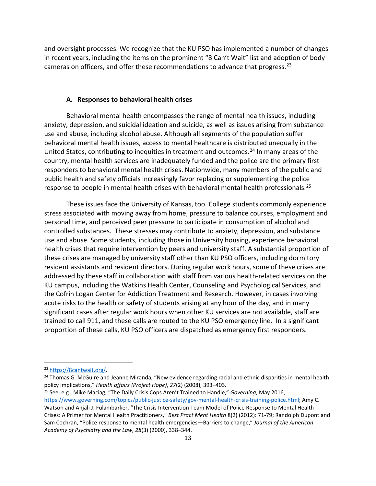and oversight processes. We recognize that the KU PSO has implemented a number of changes in recent years, including the items on the prominent "8 Can't Wait" list and adoption of body cameras on officers, and offer these recommendations to advance that progress.<sup>[23](#page-12-0)</sup>

#### **A. Responses to behavioral health crises**

Behavioral mental health encompasses the range of mental health issues, including anxiety, depression, and suicidal ideation and suicide, as well as issues arising from substance use and abuse, including alcohol abuse. Although all segments of the population suffer behavioral mental health issues, access to mental healthcare is distributed unequally in the United States, contributing to inequities in treatment and outcomes. [24](#page-12-1) In many areas of the country, mental health services are inadequately funded and the police are the primary first responders to behavioral mental health crises. Nationwide, many members of the public and public health and safety officials increasingly favor replacing or supplementing the police response to people in mental health crises with behavioral mental health professionals.<sup>[25](#page-12-2)</sup>

These issues face the University of Kansas, too. College students commonly experience stress associated with moving away from home, pressure to balance courses, employment and personal time, and perceived peer pressure to participate in consumption of alcohol and controlled substances. These stresses may contribute to anxiety, depression, and substance use and abuse. Some students, including those in University housing, experience behavioral health crises that require intervention by peers and university staff. A substantial proportion of these crises are managed by university staff other than KU PSO officers, including dormitory resident assistants and resident directors. During regular work hours, some of these crises are addressed by these staff in collaboration with staff from various health-related services on the KU campus, including the Watkins Health Center, Counseling and Psychological Services, and the Cofrin Logan Center for Addiction Treatment and Research. However, in cases involving acute risks to the health or safety of students arising at any hour of the day, and in many significant cases after regular work hours when other KU services are not available, staff are trained to call 911, and these calls are routed to the KU PSO emergency line. In a significant proportion of these calls, KU PSO officers are dispatched as emergency first responders.

<span id="page-12-2"></span><sup>25</sup> See, e.g., Mike Maciag, "The Daily Crisis Cops Aren't Trained to Handle," *Governing*, May 2016, [https://www.governing.com/topics/public-justice-safety/gov-mental-health-crisis-training-police.html;](https://www.governing.com/topics/public-justice-safety/gov-mental-health-crisis-training-police.html) Amy C. Watson and Anjali J. Fulambarker, "The Crisis Intervention Team Model of Police Response to Mental Health Crises: A Primer for Mental Health Practitioners," *Best Pract Ment Health* 8(2) (2012): 71-79; Randolph Dupont and Sam Cochran, "Police response to mental health emergencies—Barriers to change," *Journal of the American Academy of Psychiatry and the Law, 28*(3) (2000), 338–344.

<span id="page-12-0"></span><sup>23</sup> [https://8cantwait.org/.](https://8cantwait.org/)

<span id="page-12-1"></span><sup>&</sup>lt;sup>24</sup> Thomas G. McGuire and Jeanne Miranda, "New evidence regarding racial and ethnic disparities in mental health: policy implications," *Health affairs (Project Hope)*, *27*(2) (2008), 393–403.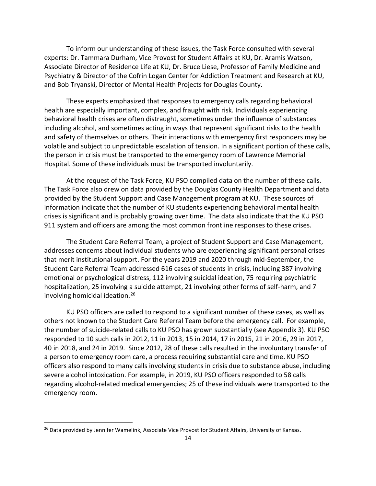To inform our understanding of these issues, the Task Force consulted with several experts: Dr. Tammara Durham, Vice Provost for Student Affairs at KU, Dr. Aramis Watson, Associate Director of Residence Life at KU, Dr. Bruce Liese, Professor of Family Medicine and Psychiatry & Director of the Cofrin Logan Center for Addiction Treatment and Research at KU, and Bob Tryanski, Director of Mental Health Projects for Douglas County.

These experts emphasized that responses to emergency calls regarding behavioral health are especially important, complex, and fraught with risk. Individuals experiencing behavioral health crises are often distraught, sometimes under the influence of substances including alcohol, and sometimes acting in ways that represent significant risks to the health and safety of themselves or others. Their interactions with emergency first responders may be volatile and subject to unpredictable escalation of tension. In a significant portion of these calls, the person in crisis must be transported to the emergency room of Lawrence Memorial Hospital. Some of these individuals must be transported involuntarily.

At the request of the Task Force, KU PSO compiled data on the number of these calls. The Task Force also drew on data provided by the Douglas County Health Department and data provided by the Student Support and Case Management program at KU. These sources of information indicate that the number of KU students experiencing behavioral mental health crises is significant and is probably growing over time. The data also indicate that the KU PSO 911 system and officers are among the most common frontline responses to these crises.

The Student Care Referral Team, a project of Student Support and Case Management, addresses concerns about individual students who are experiencing significant personal crises that merit institutional support. For the years 2019 and 2020 through mid-September, the Student Care Referral Team addressed 616 cases of students in crisis, including 387 involving emotional or psychological distress, 112 involving suicidal ideation, 75 requiring psychiatric hospitalization, 25 involving a suicide attempt, 21 involving other forms of self-harm, and 7 involving homicidal ideation.[26](#page-13-0)

KU PSO officers are called to respond to a significant number of these cases, as well as others not known to the Student Care Referral Team before the emergency call. For example, the number of suicide-related calls to KU PSO has grown substantially (see Appendix 3). KU PSO responded to 10 such calls in 2012, 11 in 2013, 15 in 2014, 17 in 2015, 21 in 2016, 29 in 2017, 40 in 2018, and 24 in 2019. Since 2012, 28 of these calls resulted in the involuntary transfer of a person to emergency room care, a process requiring substantial care and time. KU PSO officers also respond to many calls involving students in crisis due to substance abuse, including severe alcohol intoxication. For example, in 2019, KU PSO officers responded to 58 calls regarding alcohol-related medical emergencies; 25 of these individuals were transported to the emergency room.

<span id="page-13-0"></span><sup>&</sup>lt;sup>26</sup> Data provided by Jennifer Wamelink, Associate Vice Provost for Student Affairs, University of Kansas.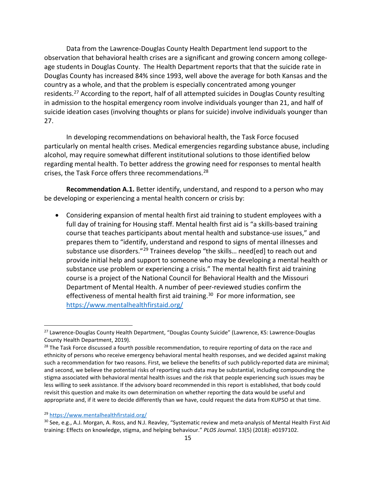Data from the Lawrence-Douglas County Health Department lend support to the observation that behavioral health crises are a significant and growing concern among collegeage students in Douglas County. The Health Department reports that that the suicide rate in Douglas County has increased 84% since 1993, well above the average for both Kansas and the country as a whole, and that the problem is especially concentrated among younger residents[.27](#page-14-0) According to the report, half of all attempted suicides in Douglas County resulting in admission to the hospital emergency room involve individuals younger than 21, and half of suicide ideation cases (involving thoughts or plans for suicide) involve individuals younger than 27.

In developing recommendations on behavioral health, the Task Force focused particularly on mental health crises. Medical emergencies regarding substance abuse, including alcohol, may require somewhat different institutional solutions to those identified below regarding mental health. To better address the growing need for responses to mental health crises, the Task Force offers three recommendations.<sup>[28](#page-14-1)</sup>

**Recommendation A.1.** Better identify, understand, and respond to a person who may be developing or experiencing a mental health concern or crisis by:

• Considering expansion of mental health first aid training to student employees with a full day of training for Housing staff. Mental health first aid is "a skills-based training course that teaches participants about mental health and substance-use issues," and prepares them to "identify, understand and respond to signs of mental illnesses and substance use disorders."<sup>[29](#page-14-2)</sup> Trainees develop "the skills... need[ed] to reach out and provide initial help and support to someone who may be developing a mental health or substance use problem or experiencing a crisis." The mental health first aid training course is a project of the National Council for Behavioral Health and the Missouri Department of Mental Health. A number of peer-reviewed studies confirm the effectiveness of mental health first aid training.<sup>[30](#page-14-3)</sup> For more information, see <https://www.mentalhealthfirstaid.org/>

<span id="page-14-0"></span><sup>&</sup>lt;sup>27</sup> Lawrence-Douglas County Health Department, "Douglas County Suicide" (Lawrence, KS: Lawrence-Douglas County Health Department, 2019).

<span id="page-14-1"></span><sup>&</sup>lt;sup>28</sup> The Task Force discussed a fourth possible recommendation, to require reporting of data on the race and ethnicity of persons who receive emergency behavioral mental health responses, and we decided against making such a recommendation for two reasons. First, we believe the benefits of such publicly-reported data are minimal; and second, we believe the potential risks of reporting such data may be substantial, including compounding the stigma associated with behavioral mental health issues and the risk that people experiencing such issues may be less willing to seek assistance. If the advisory board recommended in this report is established, that body could revisit this question and make its own determination on whether reporting the data would be useful and appropriate and, if it were to decide differently than we have, could request the data from KUPSO at that time.

<span id="page-14-2"></span><sup>29</sup> <https://www.mentalhealthfirstaid.org/>

<span id="page-14-3"></span><sup>&</sup>lt;sup>30</sup> See, e.g., A.J. Morgan, A. Ross, and N.J. Reavley, "Systematic review and meta-analysis of Mental Health First Aid training: Effects on knowledge, stigma, and helping behaviour." *PLOS Journal*. 13(5) (2018): e0197102.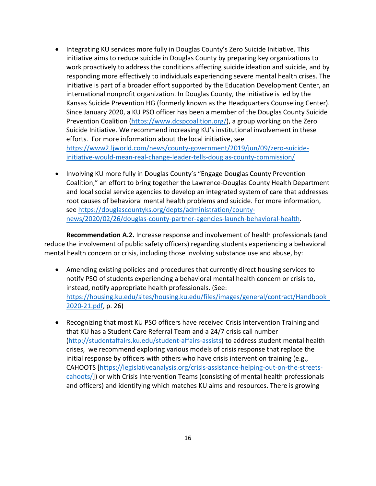- Integrating KU services more fully in Douglas County's Zero Suicide Initiative. This initiative aims to reduce suicide in Douglas County by preparing key organizations to work proactively to address the conditions affecting suicide ideation and suicide, and by responding more effectively to individuals experiencing severe mental health crises. The initiative is part of a broader effort supported by the Education Development Center, an international nonprofit organization. In Douglas County, the initiative is led by the Kansas Suicide Prevention HG (formerly known as the Headquarters Counseling Center). Since January 2020, a KU PSO officer has been a member of the Douglas County Suicide Prevention Coalition [\(https://www.dcspcoalition.org/\)](https://www.dcspcoalition.org/), a group working on the Zero Suicide Initiative. We recommend increasing KU's institutional involvement in these efforts. For more information about the local initiative, see [https://www2.ljworld.com/news/county-government/2019/jun/09/zero-suicide](https://www2.ljworld.com/news/county-government/2019/jun/09/zero-suicide-initiative-would-mean-real-change-leader-tells-douglas-county-commission/)[initiative-would-mean-real-change-leader-tells-douglas-county-commission/](https://www2.ljworld.com/news/county-government/2019/jun/09/zero-suicide-initiative-would-mean-real-change-leader-tells-douglas-county-commission/)
- Involving KU more fully in Douglas County's "Engage Douglas County Prevention Coalition," an effort to bring together the Lawrence-Douglas County Health Department and local social service agencies to develop an integrated system of care that addresses root causes of behavioral mental health problems and suicide. For more information, see [https://douglascountyks.org/depts/administration/county](https://douglascountyks.org/depts/administration/county-news/2020/02/26/douglas-county-partner-agencies-launch-behavioral-health)[news/2020/02/26/douglas-county-partner-agencies-launch-behavioral-health.](https://douglascountyks.org/depts/administration/county-news/2020/02/26/douglas-county-partner-agencies-launch-behavioral-health)

**Recommendation A.2.** Increase response and involvement of health professionals (and reduce the involvement of public safety officers) regarding students experiencing a behavioral mental health concern or crisis, including those involving substance use and abuse, by:

- Amending existing policies and procedures that currently direct housing services to notify PSO of students experiencing a behavioral mental health concern or crisis to, instead, notify appropriate health professionals. (See: [https://housing.ku.edu/sites/housing.ku.edu/files/images/general/contract/Handbook\\_](https://housing.ku.edu/sites/housing.ku.edu/files/images/general/contract/Handbook_2020-21.pdf) [2020-21.pdf,](https://housing.ku.edu/sites/housing.ku.edu/files/images/general/contract/Handbook_2020-21.pdf) p. 26)
- Recognizing that most KU PSO officers have received Crisis Intervention Training and that KU has a Student Care Referral Team and a 24/7 crisis call number [\(http://studentaffairs.ku.edu/student-affairs-assists\)](http://studentaffairs.ku.edu/student-affairs-assists) to address student mental health crises, we recommend exploring various models of crisis response that replace the initial response by officers with others who have crisis intervention training (e.g., CAHOOTS [\[https://legislativeanalysis.org/crisis-assistance-helping-out-on-the-streets](https://legislativeanalysis.org/crisis-assistance-helping-out-on-the-streets-cahoots/)[cahoots/\]](https://legislativeanalysis.org/crisis-assistance-helping-out-on-the-streets-cahoots/)) or with Crisis Intervention Teams (consisting of mental health professionals and officers) and identifying which matches KU aims and resources. There is growing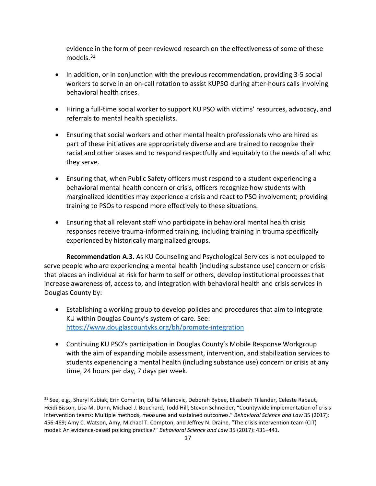evidence in the form of peer-reviewed research on the effectiveness of some of these models.[31](#page-16-0)

- In addition, or in conjunction with the previous recommendation, providing 3-5 social workers to serve in an on-call rotation to assist KUPSO during after-hours calls involving behavioral health crises.
- Hiring a full-time social worker to support KU PSO with victims' resources, advocacy, and referrals to mental health specialists.
- Ensuring that social workers and other mental health professionals who are hired as part of these initiatives are appropriately diverse and are trained to recognize their racial and other biases and to respond respectfully and equitably to the needs of all who they serve.
- Ensuring that, when Public Safety officers must respond to a student experiencing a behavioral mental health concern or crisis, officers recognize how students with marginalized identities may experience a crisis and react to PSO involvement; providing training to PSOs to respond more effectively to these situations.
- Ensuring that all relevant staff who participate in behavioral mental health crisis responses receive trauma-informed training, including training in trauma specifically experienced by historically marginalized groups.

**Recommendation A.3.** As KU Counseling and Psychological Services is not equipped to serve people who are experiencing a mental health (including substance use) concern or crisis that places an individual at risk for harm to self or others, develop institutional processes that increase awareness of, access to, and integration with behavioral health and crisis services in Douglas County by:

- Establishing a working group to develop policies and procedures that aim to integrate KU within Douglas County's system of care. See: <https://www.douglascountyks.org/bh/promote-integration>
- Continuing KU PSO's participation in Douglas County's Mobile Response Workgroup with the aim of expanding mobile assessment, intervention, and stabilization services to students experiencing a mental health (including substance use) concern or crisis at any time, 24 hours per day, 7 days per week.

<span id="page-16-0"></span><sup>31</sup> See, e.g., Sheryl Kubiak, Erin Comartin, Edita Milanovic, Deborah Bybee, Elizabeth Tillander, Celeste Rabaut, Heidi Bisson, Lisa M. Dunn, Michael J. Bouchard, Todd Hill, Steven Schneider, "Countywide implementation of crisis intervention teams: Multiple methods, measures and sustained outcomes." *Behavioral Science and Law* 35 (2017): 456-469; Amy C. Watson, Amy, Michael T. Compton, and Jeffrey N. Draine, "The crisis intervention team (CIT) model: An evidence-based policing practice?" *Behavioral Science and Law* 35 (2017): 431–441.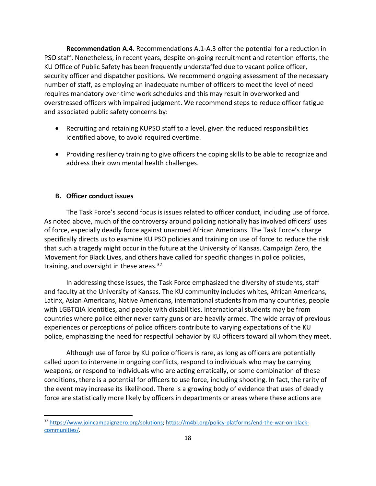**Recommendation A.4.** Recommendations A.1-A.3 offer the potential for a reduction in PSO staff. Nonetheless, in recent years, despite on-going recruitment and retention efforts, the KU Office of Public Safety has been frequently understaffed due to vacant police officer, security officer and dispatcher positions. We recommend ongoing assessment of the necessary number of staff, as employing an inadequate number of officers to meet the level of need requires mandatory over-time work schedules and this may result in overworked and overstressed officers with impaired judgment. We recommend steps to reduce officer fatigue and associated public safety concerns by:

- Recruiting and retaining KUPSO staff to a level, given the reduced responsibilities identified above, to avoid required overtime.
- Providing resiliency training to give officers the coping skills to be able to recognize and address their own mental health challenges.

# **B. Officer conduct issues**

The Task Force's second focus is issues related to officer conduct, including use of force. As noted above, much of the controversy around policing nationally has involved officers' uses of force, especially deadly force against unarmed African Americans. The Task Force's charge specifically directs us to examine KU PSO policies and training on use of force to reduce the risk that such a tragedy might occur in the future at the University of Kansas. Campaign Zero, the Movement for Black Lives, and others have called for specific changes in police policies, training, and oversight in these areas. $32$ 

In addressing these issues, the Task Force emphasized the diversity of students, staff and faculty at the University of Kansas. The KU community includes whites, African Americans, Latinx, Asian Americans, Native Americans, international students from many countries, people with LGBTQIA identities, and people with disabilities. International students may be from countries where police either never carry guns or are heavily armed. The wide array of previous experiences or perceptions of police officers contribute to varying expectations of the KU police, emphasizing the need for respectful behavior by KU officers toward all whom they meet.

Although use of force by KU police officers is rare, as long as officers are potentially called upon to intervene in ongoing conflicts, respond to individuals who may be carrying weapons, or respond to individuals who are acting erratically, or some combination of these conditions, there is a potential for officers to use force, including shooting. In fact, the rarity of the event may increase its likelihood. There is a growing body of evidence that uses of deadly force are statistically more likely by officers in departments or areas where these actions are

<span id="page-17-0"></span><sup>32</sup> [https://www.joincampaignzero.org/solutions;](https://www.joincampaignzero.org/solutions) [https://m4bl.org/policy-platforms/end-the-war-on-black](https://m4bl.org/policy-platforms/end-the-war-on-black-communities/)[communities/.](https://m4bl.org/policy-platforms/end-the-war-on-black-communities/)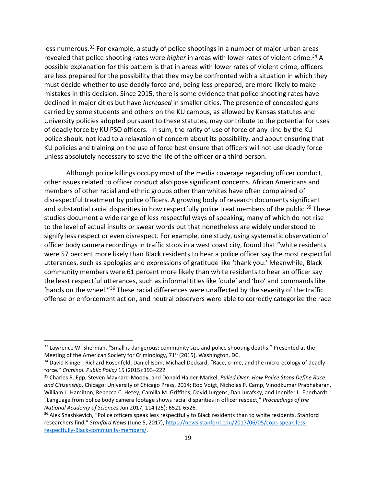less numerous.<sup>[33](#page-18-0)</sup> For example, a study of police shootings in a number of major urban areas revealed that police shooting rates were *higher* in areas with lower rates of violent crime.[34](#page-18-1) A possible explanation for this pattern is that in areas with lower rates of violent crime, officers are less prepared for the possibility that they may be confronted with a situation in which they must decide whether to use deadly force and, being less prepared, are more likely to make mistakes in this decision. Since 2015, there is some evidence that police shooting rates have declined in major cities but have *increased* in smaller cities. The presence of concealed guns carried by some students and others on the KU campus, as allowed by Kansas statutes and University policies adopted pursuant to these statutes, may contribute to the potential for uses of deadly force by KU PSO officers. In sum, the rarity of use of force of any kind by the KU police should not lead to a relaxation of concern about its possibility, and about ensuring that KU policies and training on the use of force best ensure that officers will not use deadly force unless absolutely necessary to save the life of the officer or a third person.

Although police killings occupy most of the media coverage regarding officer conduct, other issues related to officer conduct also pose significant concerns. African Americans and members of other racial and ethnic groups other than whites have often complained of disrespectful treatment by police officers. A growing body of research documents significant and substantial racial disparities in how respectfully police treat members of the public.<sup>[35](#page-18-2)</sup> These studies document a wide range of less respectful ways of speaking, many of which do not rise to the level of actual insults or swear words but that nonetheless are widely understood to signify less respect or even disrespect. For example, one study, using systematic observation of officer body camera recordings in traffic stops in a west coast city, found that "white residents were 57 percent more likely than Black residents to hear a police officer say the most respectful utterances, such as apologies and expressions of gratitude like 'thank you.' Meanwhile, Black community members were 61 percent more likely than white residents to hear an officer say the least respectful utterances, such as informal titles like 'dude' and 'bro' and commands like 'hands on the wheel."[36](#page-18-3) These racial differences were unaffected by the severity of the traffic offense or enforcement action, and neutral observers were able to correctly categorize the race

<span id="page-18-0"></span><sup>33</sup> Lawrence W. Sherman, "Small is dangerous: community size and police shooting deaths." Presented at the Meeting of the American Society for Criminology, 71<sup>st</sup> (2015), Washington, DC.

<span id="page-18-1"></span><sup>&</sup>lt;sup>34</sup> David Klinger, Richard Rosenfeld, Daniel Isom, Michael Deckard, "Race, crime, and the micro-ecology of deadly force." *Criminol. Public Policy* 15 (2015):193–222

<span id="page-18-2"></span><sup>35</sup> Charles R. Epp, Steven Maynard-Moody, and Donald Haider-Markel, *Pulled Over: How Police Stops Define Race and Citizenship*, Chicago: University of Chicago Press, 2014; Rob Voigt, Nicholas P. Camp, Vinodkumar Prabhakaran, William L. Hamilton, Rebecca C. Hetey, Camilla M. Griffiths, David Jurgens, Dan Jurafsky, and Jennifer L. Eberhardt, "Language from police body camera footage shows racial disparities in officer respect," *Proceedings of the National Academy of Sciences* Jun 2017, 114 (25): 6521-6526.

<span id="page-18-3"></span><sup>&</sup>lt;sup>36</sup> Alex Shashkevich, "Police officers speak less respectfully to Black residents than to white residents, Stanford researchers find," *Stanford News* (June 5, 2017), [https://news.stanford.edu/2017/06/05/cops-speak-less](https://news.stanford.edu/2017/06/05/cops-speak-less-respectfully-black-community-members/)[respectfully-Black-community-members/.](https://news.stanford.edu/2017/06/05/cops-speak-less-respectfully-black-community-members/)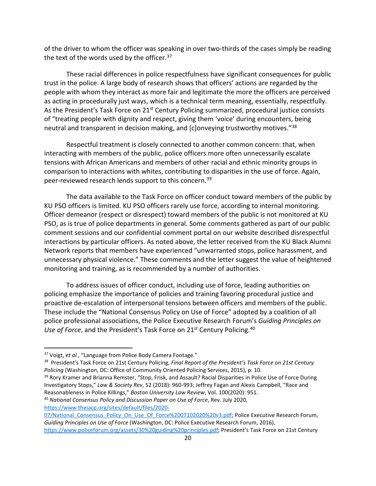of the driver to whom the officer was speaking in over two-thirds of the cases simply be reading the text of the words used by the officer.<sup>[37](#page-19-0)</sup>

These racial differences in police respectfulness have significant consequences for public trust in the police. A large body of research shows that officers' actions are regarded by the people with whom they interact as more fair and legitimate the more the officers are perceived as acting in procedurally just ways, which is a technical term meaning, essentially, respectfully. As the President's Task Force on  $21^{st}$  Century Policing summarized, procedural justice consists of "treating people with dignity and respect, giving them 'voice' during encounters, being neutral and transparent in decision making, and [c]onveying trustworthy motives."<sup>[38](#page-19-1)</sup>

Respectful treatment is closely connected to another common concern: that, when interacting with members of the public, police officers more often unnecessarily escalate tensions with African Americans and members of other racial and ethnic minority groups in comparison to interactions with whites, contributing to disparities in the use of force. Again, peer-reviewed research lends support to this concern.[39](#page-19-2)

The data available to the Task Force on officer conduct toward members of the public by KU PSO officers is limited. KU PSO officers rarely use force, according to internal monitoring. Officer demeanor (respect or disrespect) toward members of the public is not monitored at KU PSO, as is true of police departments in general. Some comments gathered as part of our public comment sessions and our confidential comment portal on our website described disrespectful interactions by particular officers. As noted above, the letter received from the KU Black Alumni Network reports that members have experienced "unwarranted stops, police harassment, and unnecessary physical violence." These comments and the letter suggest the value of heightened monitoring and training, as is recommended by a number of authorities.

To address issues of officer conduct, including use of force, leading authorities on policing emphasize the importance of policies and training favoring procedural justice and proactive de-escalation of interpersonal tensions between officers and members of the public. These include the "National Consensus Policy on Use of Force" adopted by a coalition of all police professional associations, the Police Executive Research Forum's *Guiding Principles on Use of Force*, and the President's Task Force on 21<sup>st</sup> Century Policing.<sup>40</sup>

<span id="page-19-0"></span><sup>37</sup> Voigt, *et al.*, "Language from Police Body Camera Footage."

<span id="page-19-1"></span><sup>38</sup> President's Task Force on 21st Century Policing, *Final Report of the President's Task Force on 21st Century Policing* (Washington, DC: Office of Community Oriented Policing Services, 2015), p. 10.

<span id="page-19-2"></span><sup>&</sup>lt;sup>39</sup> Rory Kramer and Brianna Remster, "Stop, Frisk, and Assault? Racial Disparities in Police Use of Force During Investigatory Stops," *Law & Society Rev*, 52 (2018): 960-993; Jeffrey Fagan and Alexis Campbell, "Race and Reasonableness in Police Killings," *Boston University Law Review*, Vol. 100(2020): 951.

<span id="page-19-3"></span><sup>40</sup> *National Consensus Policy and Discussion Paper on Use of Force*, Rev. July 2020, [https://www.theiacp.org/sites/default/files/2020-](https://www.theiacp.org/sites/default/files/2020-07/National_Consensus_Policy_On_Use_Of_Force%2007102020%20v3.pdf)

<sup>07/</sup>National Consensus Policy On Use Of Force%2007102020%20v3.pdf; Police Executive Research Forum, *Guiding Principles on Use of Force* (Washington, DC: Police Executive Research Forum, 2016), [https://www.policeforum.org/assets/30%20guiding%20principles.pdf;](https://www.policeforum.org/assets/30%20guiding%20principles.pdf) President's Task Force on 21st Century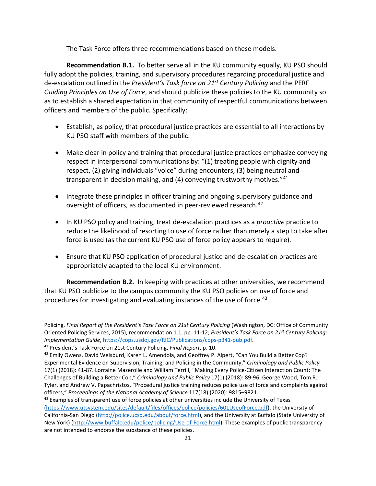The Task Force offers three recommendations based on these models.

**Recommendation B.1.** To better serve all in the KU community equally, KU PSO should fully adopt the policies, training, and supervisory procedures regarding procedural justice and de-escalation outlined in the *President's Task force on 21st Century Policing* and the PERF *Guiding Principles on Use of Force*, and should publicize these policies to the KU community so as to establish a shared expectation in that community of respectful communications between officers and members of the public. Specifically:

- Establish, as policy, that procedural justice practices are essential to all interactions by KU PSO staff with members of the public.
- Make clear in policy and training that procedural justice practices emphasize conveying respect in interpersonal communications by: "(1) treating people with dignity and respect, (2) giving individuals "voice" during encounters, (3) being neutral and transparent in decision making, and  $(4)$  conveying trustworthy motives.<sup>"[41](#page-20-0)</sup>
- Integrate these principles in officer training and ongoing supervisory guidance and oversight of officers, as documented in peer-reviewed research.<sup>[42](#page-20-1)</sup>
- In KU PSO policy and training, treat de-escalation practices as a *proactive* practice to reduce the likelihood of resorting to use of force rather than merely a step to take after force is used (as the current KU PSO use of force policy appears to require).
- Ensure that KU PSO application of procedural justice and de-escalation practices are appropriately adapted to the local KU environment.

**Recommendation B.2.** In keeping with practices at other universities, we recommend that KU PSO publicize to the campus community the KU PSO policies on use of force and procedures for investigating and evaluating instances of the use of force.<sup>[43](#page-20-2)</sup>

Policing, *Final Report of the President's Task Force on 21st Century Policing* (Washington, DC: Office of Community Oriented Policing Services, 2015), recommendation 1.1, pp. 11-12; *President's Task Force on 21st Century Policing: Implementation Guide*, [https://cops.usdoj.gov/RIC/Publications/cops-p341-pub.pdf.](https://cops.usdoj.gov/RIC/Publications/cops-p341-pub.pdf) 41 President's Task Force on 21st Century Policing, *Final Report*, p. 10.

<span id="page-20-0"></span>

<span id="page-20-1"></span><sup>42</sup> Emily Owens, David Weisburd, Karen L. Amendola, and Geoffrey P. Alpert, "Can You Build a Better Cop? Experimental Evidence on Supervision, Training, and Policing in the Community," *Criminology and Public Policy* 17(1) (2018): 41-87. Lorraine Mazerolle and William Terrill, "Making Every Police-Citizen Interaction Count: The Challenges of Building a Better Cop," *Criminology and Public Policy* 17(1) (2018): 89-96; George Wood, Tom R. Tyler, and Andrew V. Papachristos, "Procedural justice training reduces police use of force and complaints against officers," *Proceedings of the National Academy of Science* 117(18) (2020): 9815–9821.

<span id="page-20-2"></span><sup>&</sup>lt;sup>43</sup> Examples of transparent use of force policies at other universities include the University of Texas [\(https://www.utsystem.edu/sites/default/files/offices/police/policies/601UseofForce.pdf\)](https://www.utsystem.edu/sites/default/files/offices/police/policies/601UseofForce.pdf), the University of California-San Diego [\(http://police.ucsd.edu/about/force.html\)](http://police.ucsd.edu/about/force.html), and the University at Buffalo (State University of New York) [\(http://www.buffalo.edu/police/policing/Use-of-Force.html\)](http://www.buffalo.edu/police/policing/Use-of-Force.html). These examples of public transparency are not intended to endorse the substance of these policies.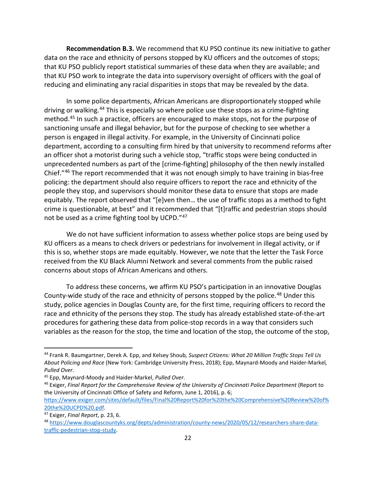**Recommendation B.3.** We recommend that KU PSO continue its new initiative to gather data on the race and ethnicity of persons stopped by KU officers and the outcomes of stops; that KU PSO publicly report statistical summaries of these data when they are available; and that KU PSO work to integrate the data into supervisory oversight of officers with the goal of reducing and eliminating any racial disparities in stops that may be revealed by the data.

In some police departments, African Americans are disproportionately stopped while driving or walking.<sup>[44](#page-21-0)</sup> This is especially so where police use these stops as a crime-fighting method.[45](#page-21-1) In such a practice, officers are encouraged to make stops, not for the purpose of sanctioning unsafe and illegal behavior, but for the purpose of checking to see whether a person is engaged in illegal activity. For example, in the University of Cincinnati police department, according to a consulting firm hired by that university to recommend reforms after an officer shot a motorist during such a vehicle stop, "traffic stops were being conducted in unprecedented numbers as part of the [crime-fighting] philosophy of the then newly installed Chief."[46](#page-21-2) The report recommended that it was not enough simply to have training in bias-free policing: the department should also require officers to report the race and ethnicity of the people they stop, and supervisors should monitor these data to ensure that stops are made equitably. The report observed that "[e]ven then… the use of traffic stops as a method to fight crime is questionable, at best" and it recommended that "[t]raffic and pedestrian stops should not be used as a crime fighting tool by UCPD."[47](#page-21-3)

We do not have sufficient information to assess whether police stops are being used by KU officers as a means to check drivers or pedestrians for involvement in illegal activity, or if this is so, whether stops are made equitably. However, we note that the letter the Task Force received from the KU Black Alumni Network and several comments from the public raised concerns about stops of African Americans and others.

To address these concerns, we affirm KU PSO's participation in an innovative Douglas County-wide study of the race and ethnicity of persons stopped by the police.<sup>[48](#page-21-4)</sup> Under this study, police agencies in Douglas County are, for the first time, requiring officers to record the race and ethnicity of the persons they stop. The study has already established state-of-the-art procedures for gathering these data from police-stop records in a way that considers such variables as the reason for the stop, the time and location of the stop, the outcome of the stop,

<span id="page-21-0"></span><sup>44</sup> Frank R. Baumgartner, Derek A. Epp, and Kelsey Shoub*, Suspect Citizens: What 20 Million Traffic Stops Tell Us About Policing and Race* (New York: Cambridge University Press, 2018); Epp, Maynard-Moody and Haider-Markel*, Pulled Over*.

<span id="page-21-1"></span><sup>45</sup> Epp, Maynard-Moody and Haider-Markel, *Pulled Over*.

<span id="page-21-2"></span><sup>&</sup>lt;sup>46</sup> Exiger, Final Report for the Comprehensive Review of the University of Cincinnati Police Department (Report to the University of Cincinnati Office of Safety and Reform, June 1, 2016), p. 6; [https://www.exiger.com/sites/default/files/Final%20Report%20for%20the%20Comprehensive%20Review%20of%](https://www.exiger.com/sites/default/files/Final%20Report%20for%20the%20Comprehensive%20Review%20of%20the%20UCPD%20.pdf)

<span id="page-21-4"></span><span id="page-21-3"></span>[<sup>20</sup>the%20UCPD%20.pdf.](https://www.exiger.com/sites/default/files/Final%20Report%20for%20the%20Comprehensive%20Review%20of%20the%20UCPD%20.pdf) 47 Exiger, *Final Report*, p. 23, 6. <sup>48</sup> [https://www.douglascountyks.org/depts/administration/county-news/2020/05/12/researchers-share-data](https://www.douglascountyks.org/depts/administration/county-news/2020/05/12/researchers-share-data-traffic-pedestrian-stop-study)[traffic-pedestrian-stop-study.](https://www.douglascountyks.org/depts/administration/county-news/2020/05/12/researchers-share-data-traffic-pedestrian-stop-study)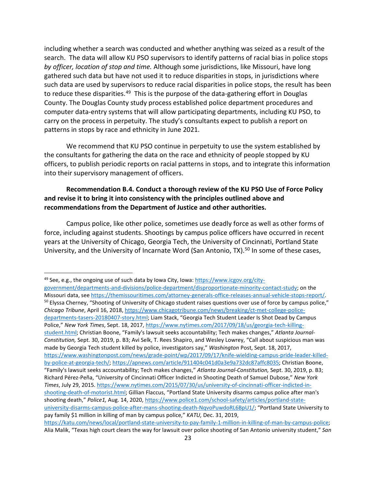including whether a search was conducted and whether anything was seized as a result of the search. The data will allow KU PSO supervisors to identify patterns of racial bias in police stops *by officer, location of stop and time.* Although some jurisdictions, like Missouri, have long gathered such data but have not used it to reduce disparities in stops, in jurisdictions where such data are used by supervisors to reduce racial disparities in police stops, the result has been to reduce these disparities.<sup>[49](#page-22-0)</sup> This is the purpose of the data-gathering effort in Douglas County. The Douglas County study process established police department procedures and computer data-entry systems that will allow participating departments, including KU PSO, to carry on the process in perpetuity. The study's consultants expect to publish a report on patterns in stops by race and ethnicity in June 2021.

We recommend that KU PSO continue in perpetuity to use the system established by the consultants for gathering the data on the race and ethnicity of people stopped by KU officers, to publish periodic reports on racial patterns in stops, and to integrate this information into their supervisory management of officers.

# **Recommendation B.4. Conduct a thorough review of the KU PSO Use of Force Policy and revise it to bring it into consistency with the principles outlined above and recommendations from the Department of Justice and other authorities.**

Campus police, like other police, sometimes use deadly force as well as other forms of force, including against students. Shootings by campus police officers have occurred in recent years at the University of Chicago, Georgia Tech, the University of Cincinnati, Portland State University, and the University of Incarnate Word (San Antonio, TX).<sup>[50](#page-22-1)</sup> In some of these cases,

<span id="page-22-0"></span><sup>49</sup> See, e.g., the ongoing use of such data by Iowa City, Iowa: [https://www.icgov.org/city-](https://www.icgov.org/city-government/departments-and-divisions/police-department/disproportionate-minority-contact-study)

<span id="page-22-1"></span>[government/departments-and-divisions/police-department/disproportionate-minority-contact-study;](https://www.icgov.org/city-government/departments-and-divisions/police-department/disproportionate-minority-contact-study) on the Missouri data, se[e https://themissouritimes.com/attorney-generals-office-releases-annual-vehicle-stops-report/.](https://themissouritimes.com/attorney-generals-office-releases-annual-vehicle-stops-report/) <sup>50</sup> Elyssa Cherney, "Shooting of University of Chicago student raises questions over use of force by campus police," *Chicago Tribune*, April 16, 2018[, https://www.chicagotribune.com/news/breaking/ct-met-college-police](https://www.chicagotribune.com/news/breaking/ct-met-college-police-departments-tasers-20180407-story.html)[departments-tasers-20180407-story.html;](https://www.chicagotribune.com/news/breaking/ct-met-college-police-departments-tasers-20180407-story.html) Liam Stack, "Georgia Tech Student Leader Is Shot Dead by Campus Police," *New York Times*, Sept. 18, 2017[, https://www.nytimes.com/2017/09/18/us/georgia-tech-killing](https://www.nytimes.com/2017/09/18/us/georgia-tech-killing-student.html)[student.html;](https://www.nytimes.com/2017/09/18/us/georgia-tech-killing-student.html) Christian Boone, "Family's lawsuit seeks accountability; Tech makes changes," *Atlanta Journal-Constitution,* Sept. 30, 2019, p. B3; Avi Selk, T. Rees Shapiro, and Wesley Lowrey, "Call about suspicious man was made by Georgia Tech student killed by police, investigators say," *Washington* Post, Sept. 18, 2017, [https://www.washingtonpost.com/news/grade-point/wp/2017/09/17/knife-wielding-campus-pride-leader-killed](https://www.washingtonpost.com/news/grade-point/wp/2017/09/17/knife-wielding-campus-pride-leader-killed-by-police-at-georgia-tech/)[by-police-at-georgia-tech/;](https://www.washingtonpost.com/news/grade-point/wp/2017/09/17/knife-wielding-campus-pride-leader-killed-by-police-at-georgia-tech/) [https://apnews.com/article/911404c041d0a3e9a732dc87affc8035;](https://apnews.com/article/911404c041d0a3e9a732dc87affc8035) Christian Boone, "Family's lawsuit seeks accountability; Tech makes changes," *Atlanta Journal-Constitution,* Sept. 30, 2019, p. B3; Richard Pérez-Peña, "University of Cincinnati Officer Indicted in Shooting Death of Samuel Dubose," *New York Times*, July 29, 2015. [https://www.nytimes.com/2015/07/30/us/university-of-cincinnati-officer-indicted-in](https://www.nytimes.com/2015/07/30/us/university-of-cincinnati-officer-indicted-in-shooting-death-of-motorist.html)[shooting-death-of-motorist.html;](https://www.nytimes.com/2015/07/30/us/university-of-cincinnati-officer-indicted-in-shooting-death-of-motorist.html) Gillian Flaccus, "Portland State University disarms campus police after man's shooting death," *Police1,* Aug. 14, 2020, [https://www.police1.com/school-safety/articles/portland-state](https://www.police1.com/school-safety/articles/portland-state-university-disarms-campus-police-after-mans-shooting-death-NqvoPuwdoRL6BpU1/)[university-disarms-campus-police-after-mans-shooting-death-NqvoPuwdoRL6BpU1/;](https://www.police1.com/school-safety/articles/portland-state-university-disarms-campus-police-after-mans-shooting-death-NqvoPuwdoRL6BpU1/) "Portland State University to pay family \$1 million in killing of man by campus police," *KATU,* Dec. 31, 2019, [https://katu.com/news/local/portland-state-university-to-pay-family-1-million-in-killing-of-man-by-campus-police;](https://katu.com/news/local/portland-state-university-to-pay-family-1-million-in-killing-of-man-by-campus-police)  Alia Malik, "Texas high court clears the way for lawsuit over police shooting of San Antonio university student," *San*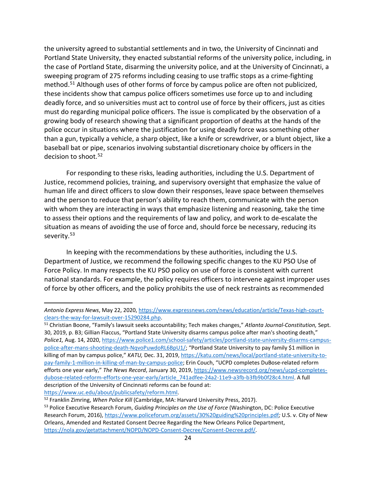the university agreed to substantial settlements and in two, the University of Cincinnati and Portland State University, they enacted substantial reforms of the university police, including, in the case of Portland State, disarming the university police, and at the University of Cincinnati, a sweeping program of 275 reforms including ceasing to use traffic stops as a crime-fighting method. [51](#page-23-0) Although uses of other forms of force by campus police are often not publicized, these incidents show that campus police officers sometimes use force up to and including deadly force, and so universities must act to control use of force by their officers, just as cities must do regarding municipal police officers. The issue is complicated by the observation of a growing body of research showing that a significant proportion of deaths at the hands of the police occur in situations where the justification for using deadly force was something other than a gun, typically a vehicle, a sharp object, like a knife or screwdriver, or a blunt object, like a baseball bat or pipe, scenarios involving substantial discretionary choice by officers in the decision to shoot.<sup>[52](#page-23-1)</sup>

For responding to these risks, leading authorities, including the U.S. Department of Justice, recommend policies, training, and supervisory oversight that emphasize the value of human life and direct officers to slow down their responses, leave space between themselves and the person to reduce that person's ability to reach them, communicate with the person with whom they are interacting in ways that emphasize listening and reasoning, take the time to assess their options and the requirements of law and policy, and work to de-escalate the situation as means of avoiding the use of force and, should force be necessary, reducing its severity.<sup>[53](#page-23-2)</sup>

In keeping with the recommendations by these authorities, including the U.S. Department of Justice, we recommend the following specific changes to the KU PSO Use of Force Policy. In many respects the KU PSO policy on use of force is consistent with current national standards. For example, the policy requires officers to intervene against improper uses of force by other officers, and the policy prohibits the use of neck restraints as recommended

*Antonio Express News*, May 22, 2020, [https://www.expressnews.com/news/education/article/Texas-high-court](https://www.expressnews.com/news/education/article/Texas-high-court-clears-the-way-for-lawsuit-over-15290284.php)[clears-the-way-for-lawsuit-over-15290284.php.](https://www.expressnews.com/news/education/article/Texas-high-court-clears-the-way-for-lawsuit-over-15290284.php)

<span id="page-23-0"></span><sup>51</sup> Christian Boone, "Family's lawsuit seeks accountability; Tech makes changes," *Atlanta Journal-Constitution,* Sept. 30, 2019, p. B3; Gillian Flaccus, "Portland State University disarms campus police after man's shooting death," *Police1,* Aug. 14, 2020, [https://www.police1.com/school-safety/articles/portland-state-university-disarms-campus](https://www.police1.com/school-safety/articles/portland-state-university-disarms-campus-police-after-mans-shooting-death-NqvoPuwdoRL6BpU1/)[police-after-mans-shooting-death-NqvoPuwdoRL6BpU1/;](https://www.police1.com/school-safety/articles/portland-state-university-disarms-campus-police-after-mans-shooting-death-NqvoPuwdoRL6BpU1/) "Portland State University to pay family \$1 million in killing of man by campus police," *KATU,* Dec. 31, 2019, [https://katu.com/news/local/portland-state-university-to](https://katu.com/news/local/portland-state-university-to-pay-family-1-million-in-killing-of-man-by-campus-police)[pay-family-1-million-in-killing-of-man-by-campus-police;](https://katu.com/news/local/portland-state-university-to-pay-family-1-million-in-killing-of-man-by-campus-police) Erin Couch, "UCPD completes DuBose-related reform efforts one year early," *The News Record*, January 30, 2019, [https://www.newsrecord.org/news/ucpd-completes](https://www.newsrecord.org/news/ucpd-completes-dubose-related-reform-efforts-one-year-early/article_741adfee-24a2-11e9-a3fb-b3fb9b0f28c4.html)[dubose-related-reform-efforts-one-year-early/article\\_741adfee-24a2-11e9-a3fb-b3fb9b0f28c4.html.](https://www.newsrecord.org/news/ucpd-completes-dubose-related-reform-efforts-one-year-early/article_741adfee-24a2-11e9-a3fb-b3fb9b0f28c4.html) A full description of the University of Cincinnati reforms can be found at: https://www.uc.edu/about/publicsafety/reform.html.<br><sup>52</sup> Franklin Zimring, *When Police Kill* (Cambridge, MA: Harvard University Press, 2017).

<span id="page-23-2"></span><span id="page-23-1"></span><sup>53</sup> Police Executive Research Forum, *Guiding Principles on the Use of Force* (Washington, DC: Police Executive Research Forum, 2016)[, https://www.policeforum.org/assets/30%20guiding%20principles.pdf](https://www.policeforum.org/assets/30%20guiding%20principles.pdf)*;* U.S. v. City of New Orleans, Amended and Restated Consent Decree Regarding the New Orleans Police Department, [https://nola.gov/getattachment/NOPD/NOPD-Consent-Decree/Consent-Decree.pdf/.](https://nola.gov/getattachment/NOPD/NOPD-Consent-Decree/Consent-Decree.pdf/)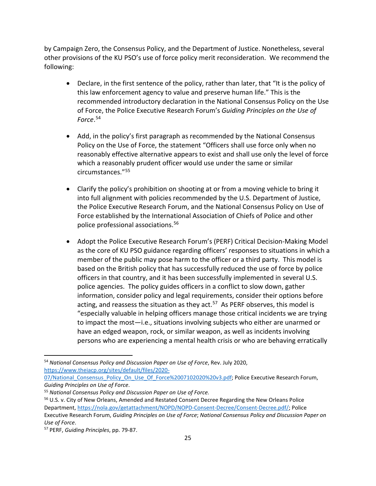by Campaign Zero, the Consensus Policy, and the Department of Justice. Nonetheless, several other provisions of the KU PSO's use of force policy merit reconsideration. We recommend the following:

- Declare, in the first sentence of the policy, rather than later, that "It is the policy of this law enforcement agency to value and preserve human life." This is the recommended introductory declaration in the National Consensus Policy on the Use of Force, the Police Executive Research Forum's *Guiding Principles on the Use of Force*. [54](#page-24-0)
- Add, in the policy's first paragraph as recommended by the National Consensus Policy on the Use of Force, the statement "Officers shall use force only when no reasonably effective alternative appears to exist and shall use only the level of force which a reasonably prudent officer would use under the same or similar circumstances."[55](#page-24-1)
- Clarify the policy's prohibition on shooting at or from a moving vehicle to bring it into full alignment with policies recommended by the U.S. Department of Justice, the Police Executive Research Forum, and the National Consensus Policy on Use of Force established by the International Association of Chiefs of Police and other police professional associations. [56](#page-24-2)
- Adopt the Police Executive Research Forum's (PERF) Critical Decision-Making Model as the core of KU PSO guidance regarding officers' responses to situations in which a member of the public may pose harm to the officer or a third party. This model is based on the British policy that has successfully reduced the use of force by police officers in that country, and it has been successfully implemented in several U.S. police agencies. The policy guides officers in a conflict to slow down, gather information, consider policy and legal requirements, consider their options before acting, and reassess the situation as they act.<sup>[57](#page-24-3)</sup> As PERF observes, this model is "especially valuable in helping officers manage those critical incidents we are trying to impact the most—i.e., situations involving subjects who either are unarmed or have an edged weapon, rock, or similar weapon, as well as incidents involving persons who are experiencing a mental health crisis or who are behaving erratically

07/National Consensus Policy On Use Of Force%2007102020%20v3.pdf; Police Executive Research Forum, *Guiding Principles on Use of Force*.

<span id="page-24-0"></span><sup>54</sup> *National Consensus Policy and Discussion Paper on Use of Force*, Rev. July 2020, [https://www.theiacp.org/sites/default/files/2020-](https://www.theiacp.org/sites/default/files/2020-07/National_Consensus_Policy_On_Use_Of_Force%2007102020%20v3.pdf)

<span id="page-24-1"></span><sup>55</sup> *National Consensus Policy and Discussion Paper on Use of Force.*

<span id="page-24-2"></span><sup>&</sup>lt;sup>56</sup> U.S. v. City of New Orleans, Amended and Restated Consent Decree Regarding the New Orleans Police Department, [https://nola.gov/getattachment/NOPD/NOPD-Consent-Decree/Consent-Decree.pdf/;](https://nola.gov/getattachment/NOPD/NOPD-Consent-Decree/Consent-Decree.pdf/) Police Executive Research Forum, *Guiding Principles on Use of Force*; *National Consensus Policy and Discussion Paper on Use of Force*.

<span id="page-24-3"></span><sup>57</sup> PERF, *Guiding Principles*, pp. 79-87.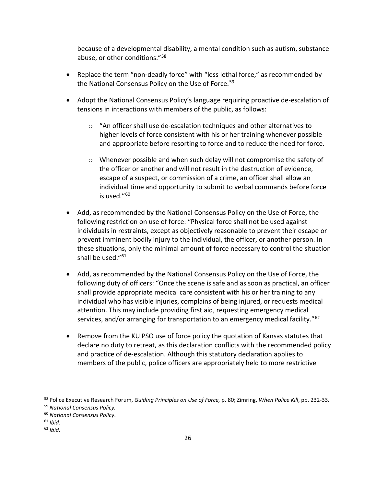because of a developmental disability, a mental condition such as autism, substance abuse, or other conditions."[58](#page-25-0)

- Replace the term "non-deadly force" with "less lethal force," as recommended by the National Consensus Policy on the Use of Force.<sup>[59](#page-25-1)</sup>
- Adopt the National Consensus Policy's language requiring proactive de-escalation of tensions in interactions with members of the public, as follows:
	- o "An officer shall use de-escalation techniques and other alternatives to higher levels of force consistent with his or her training whenever possible and appropriate before resorting to force and to reduce the need for force.
	- $\circ$  Whenever possible and when such delay will not compromise the safety of the officer or another and will not result in the destruction of evidence, escape of a suspect, or commission of a crime, an officer shall allow an individual time and opportunity to submit to verbal commands before force is used."[60](#page-25-2)
- Add, as recommended by the National Consensus Policy on the Use of Force, the following restriction on use of force: "Physical force shall not be used against individuals in restraints, except as objectively reasonable to prevent their escape or prevent imminent bodily injury to the individual, the officer, or another person. In these situations, only the minimal amount of force necessary to control the situation shall be used."<sup>[61](#page-25-3)</sup>
- Add, as recommended by the National Consensus Policy on the Use of Force, the following duty of officers: "Once the scene is safe and as soon as practical, an officer shall provide appropriate medical care consistent with his or her training to any individual who has visible injuries, complains of being injured, or requests medical attention. This may include providing first aid, requesting emergency medical services, and/or arranging for transportation to an emergency medical facility."<sup>[62](#page-25-4)</sup>
- Remove from the KU PSO use of force policy the quotation of Kansas statutes that declare no duty to retreat, as this declaration conflicts with the recommended policy and practice of de-escalation. Although this statutory declaration applies to members of the public, police officers are appropriately held to more restrictive

<span id="page-25-0"></span><sup>58</sup> Police Executive Research Forum, *Guiding Principles on Use of Force,* p. 80; Zimring, *When Police Kill*, pp. 232-33.

<span id="page-25-1"></span><sup>59</sup> *National Consensus Policy.*

<span id="page-25-2"></span><sup>60</sup> *National Consensus Policy*.

<span id="page-25-3"></span><sup>61</sup> *Ibid.*

<span id="page-25-4"></span><sup>62</sup> *Ibid.*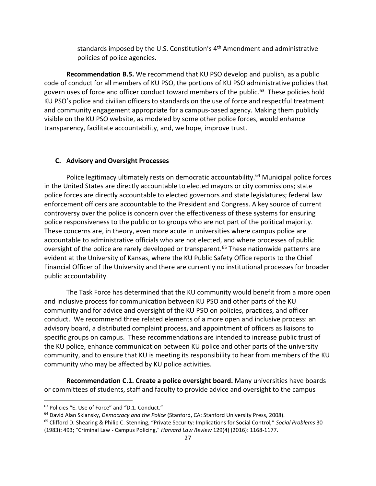standards imposed by the U.S. Constitution's 4<sup>th</sup> Amendment and administrative policies of police agencies.

**Recommendation B.5.** We recommend that KU PSO develop and publish, as a public code of conduct for all members of KU PSO, the portions of KU PSO administrative policies that govern uses of force and officer conduct toward members of the public.<sup>[63](#page-26-0)</sup> These policies hold KU PSO's police and civilian officers to standards on the use of force and respectful treatment and community engagement appropriate for a campus-based agency. Making them publicly visible on the KU PSO website, as modeled by some other police forces, would enhance transparency, facilitate accountability, and, we hope, improve trust.

#### **C. Advisory and Oversight Processes**

Police legitimacy ultimately rests on democratic accountability.<sup>[64](#page-26-1)</sup> Municipal police forces in the United States are directly accountable to elected mayors or city commissions; state police forces are directly accountable to elected governors and state legislatures; federal law enforcement officers are accountable to the President and Congress. A key source of current controversy over the police is concern over the effectiveness of these systems for ensuring police responsiveness to the public or to groups who are not part of the political majority. These concerns are, in theory, even more acute in universities where campus police are accountable to administrative officials who are not elected, and where processes of public oversight of the police are rarely developed or transparent.<sup>[65](#page-26-2)</sup> These nationwide patterns are evident at the University of Kansas, where the KU Public Safety Office reports to the Chief Financial Officer of the University and there are currently no institutional processes for broader public accountability.

The Task Force has determined that the KU community would benefit from a more open and inclusive process for communication between KU PSO and other parts of the KU community and for advice and oversight of the KU PSO on policies, practices, and officer conduct. We recommend three related elements of a more open and inclusive process: an advisory board, a distributed complaint process, and appointment of officers as liaisons to specific groups on campus. These recommendations are intended to increase public trust of the KU police, enhance communication between KU police and other parts of the university community, and to ensure that KU is meeting its responsibility to hear from members of the KU community who may be affected by KU police activities.

**Recommendation C.1. Create a police oversight board.** Many universities have boards or committees of students, staff and faculty to provide advice and oversight to the campus

<span id="page-26-0"></span><sup>63</sup> Policies "E. Use of Force" and "D.1. Conduct."

<span id="page-26-1"></span><sup>64</sup> David Alan Sklansky, *Democracy and the Police* (Stanford, CA: Stanford University Press, 2008).

<span id="page-26-2"></span><sup>65</sup> Clifford D. Shearing & Philip C. Stenning, "Private Security: Implications for Social Control*,*" *Social Problems* 30 (1983): 493; "Criminal Law - Campus Policing," *Harvard Law Review* 129(4) (2016): 1168-1177.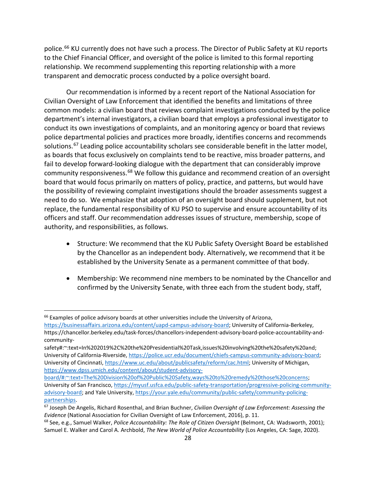police.<sup>[66](#page-27-0)</sup> KU currently does not have such a process. The Director of Public Safety at KU reports to the Chief Financial Officer, and oversight of the police is limited to this formal reporting relationship. We recommend supplementing this reporting relationship with a more transparent and democratic process conducted by a police oversight board.

Our recommendation is informed by a recent report of the National Association for Civilian Oversight of Law Enforcement that identified the benefits and limitations of three common models: a civilian board that reviews complaint investigations conducted by the police department's internal investigators, a civilian board that employs a professional investigator to conduct its own investigations of complaints, and an monitoring agency or board that reviews police departmental policies and practices more broadly, identifies concerns and recommends solutions.<sup>[67](#page-27-1)</sup> Leading police accountability scholars see considerable benefit in the latter model, as boards that focus exclusively on complaints tend to be reactive, miss broader patterns, and fail to develop forward-looking dialogue with the department that can considerably improve community responsiveness.<sup>[68](#page-27-2)</sup> We follow this guidance and recommend creation of an oversight board that would focus primarily on matters of policy, practice, and patterns, but would have the possibility of reviewing complaint investigations should the broader assessments suggest a need to do so. We emphasize that adoption of an oversight board should supplement, but not replace, the fundamental responsibility of KU PSO to supervise and ensure accountability of its officers and staff. Our recommendation addresses issues of structure, membership, scope of authority, and responsibilities, as follows.

- Structure: We recommend that the KU Public Safety Oversight Board be established by the Chancellor as an independent body. Alternatively, we recommend that it be established by the University Senate as a permanent committee of that body.
- Membership: We recommend nine members to be nominated by the Chancellor and confirmed by the University Senate, with three each from the student body, staff,

<span id="page-27-0"></span><sup>&</sup>lt;sup>66</sup> Examples of police advisory boards at other universities include the University of Arizona,

[https://businessaffairs.arizona.edu/content/uapd-campus-advisory-board;](https://businessaffairs.arizona.edu/content/uapd-campus-advisory-board) University of California-Berkeley, https://chancellor.berkeley.edu/task-forces/chancellors-independent-advisory-board-police-accountability-andcommunity-

safety#:~:text=In%202019%2C%20the%20Presidential%20Task,issues%20involving%20the%20safety%20and; University of California-Riverside[, https://police.ucr.edu/document/chiefs-campus-community-advisory-board;](https://police.ucr.edu/document/chiefs-campus-community-advisory-board) University of Cincinnati, [https://www.uc.edu/about/publicsafety/reform/cac.html;](https://www.uc.edu/about/publicsafety/reform/cac.html) University of Michigan, [https://www.dpss.umich.edu/content/about/student-advisory-](https://www.dpss.umich.edu/content/about/student-advisory-board/#:%7E:text=The%20Division%20of%20Public%20Safety,ways%20to%20remedy%20those%20concerns)

[board/#:~:text=The%20Division%20of%20Public%20Safety,ways%20to%20remedy%20those%20concerns;](https://www.dpss.umich.edu/content/about/student-advisory-board/#:%7E:text=The%20Division%20of%20Public%20Safety,ways%20to%20remedy%20those%20concerns) University of San Francisco[, https://myusf.usfca.edu/public-safety-transportation/progressive-policing-community](https://myusf.usfca.edu/public-safety-transportation/progressive-policing-community-advisory-board)[advisory-board;](https://myusf.usfca.edu/public-safety-transportation/progressive-policing-community-advisory-board) and Yale University[, https://your.yale.edu/community/public-safety/community-policing](https://your.yale.edu/community/public-safety/community-policing-partnerships)[partnerships.](https://your.yale.edu/community/public-safety/community-policing-partnerships)

<span id="page-27-1"></span><sup>67</sup> Joseph De Angelis, Richard Rosenthal, and Brian Buchner, *Civilian Oversight of Law Enforcement: Assessing the Evidence* (National Association for Civilian Oversight of Law Enforcement, 2016), p. 11.

<span id="page-27-2"></span><sup>68</sup> See, e.g., Samuel Walker, *Police Accountability: The Role of Citizen Oversight* (Belmont, CA: Wadsworth, 2001); Samuel E. Walker and Carol A. Archbold, *The New World of Police Accountability* (Los Angeles, CA: Sage, 2020).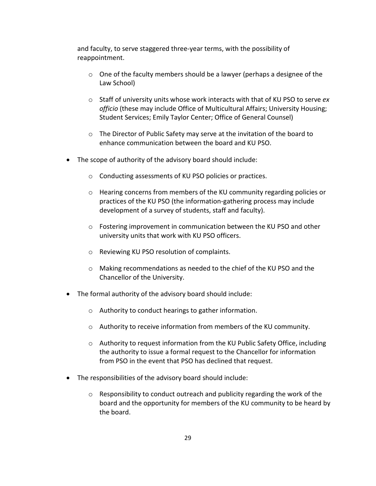and faculty, to serve staggered three-year terms, with the possibility of reappointment.

- o One of the faculty members should be a lawyer (perhaps a designee of the Law School)
- o Staff of university units whose work interacts with that of KU PSO to serve *ex officio* (these may include Office of Multicultural Affairs; University Housing; Student Services; Emily Taylor Center; Office of General Counsel)
- $\circ$  The Director of Public Safety may serve at the invitation of the board to enhance communication between the board and KU PSO.
- The scope of authority of the advisory board should include:
	- o Conducting assessments of KU PSO policies or practices.
	- o Hearing concerns from members of the KU community regarding policies or practices of the KU PSO (the information-gathering process may include development of a survey of students, staff and faculty).
	- $\circ$  Fostering improvement in communication between the KU PSO and other university units that work with KU PSO officers.
	- o Reviewing KU PSO resolution of complaints.
	- o Making recommendations as needed to the chief of the KU PSO and the Chancellor of the University.
- The formal authority of the advisory board should include:
	- o Authority to conduct hearings to gather information.
	- o Authority to receive information from members of the KU community.
	- o Authority to request information from the KU Public Safety Office, including the authority to issue a formal request to the Chancellor for information from PSO in the event that PSO has declined that request.
- The responsibilities of the advisory board should include:
	- o Responsibility to conduct outreach and publicity regarding the work of the board and the opportunity for members of the KU community to be heard by the board.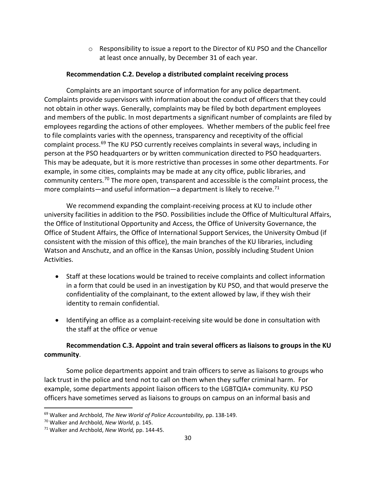$\circ$  Responsibility to issue a report to the Director of KU PSO and the Chancellor at least once annually, by December 31 of each year.

# **Recommendation C.2. Develop a distributed complaint receiving process**

Complaints are an important source of information for any police department. Complaints provide supervisors with information about the conduct of officers that they could not obtain in other ways. Generally, complaints may be filed by both department employees and members of the public. In most departments a significant number of complaints are filed by employees regarding the actions of other employees. Whether members of the public feel free to file complaints varies with the openness, transparency and receptivity of the official complaint process. [69](#page-29-0) The KU PSO currently receives complaints in several ways, including in person at the PSO headquarters or by written communication directed to PSO headquarters. This may be adequate, but it is more restrictive than processes in some other departments. For example, in some cities, complaints may be made at any city office, public libraries, and community centers.[70](#page-29-1) The more open, transparent and accessible is the complaint process, the more complaints—and useful information—a department is likely to receive.<sup>[71](#page-29-2)</sup>

We recommend expanding the complaint-receiving process at KU to include other university facilities in addition to the PSO. Possibilities include the Office of Multicultural Affairs, the Office of Institutional Opportunity and Access, the Office of University Governance, the Office of Student Affairs, the Office of International Support Services, the University Ombud (if consistent with the mission of this office), the main branches of the KU libraries, including Watson and Anschutz, and an office in the Kansas Union, possibly including Student Union Activities.

- Staff at these locations would be trained to receive complaints and collect information in a form that could be used in an investigation by KU PSO, and that would preserve the confidentiality of the complainant, to the extent allowed by law, if they wish their identity to remain confidential.
- Identifying an office as a complaint-receiving site would be done in consultation with the staff at the office or venue

# **Recommendation C.3. Appoint and train several officers as liaisons to groups in the KU community**.

Some police departments appoint and train officers to serve as liaisons to groups who lack trust in the police and tend not to call on them when they suffer criminal harm. For example, some departments appoint liaison officers to the LGBTQIA+ community. KU PSO officers have sometimes served as liaisons to groups on campus on an informal basis and

<span id="page-29-0"></span><sup>69</sup> Walker and Archbold, *The New World of Police Accountability*, pp. 138-149.

<span id="page-29-1"></span><sup>70</sup> Walker and Archbold, *New World*, p. 145.

<span id="page-29-2"></span><sup>71</sup> Walker and Archbold, *New World,* pp. 144-45.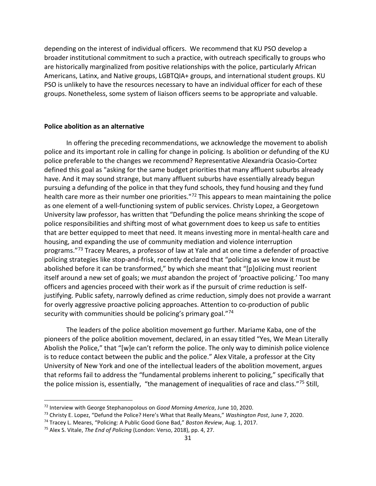depending on the interest of individual officers. We recommend that KU PSO develop a broader institutional commitment to such a practice, with outreach specifically to groups who are historically marginalized from positive relationships with the police, particularly African Americans, Latinx, and Native groups, LGBTQIA+ groups, and international student groups. KU PSO is unlikely to have the resources necessary to have an individual officer for each of these groups. Nonetheless, some system of liaison officers seems to be appropriate and valuable.

# **Police abolition as an alternative**

In offering the preceding recommendations, we acknowledge the movement to abolish police and its important role in calling for change in policing. Is abolition or defunding of the KU police preferable to the changes we recommend? Representative Alexandria Ocasio-Cortez defined this goal as "asking for the same budget priorities that many affluent suburbs already have. And it may sound strange, but many affluent suburbs have essentially already begun pursuing a defunding of the police in that they fund schools, they fund housing and they fund health care more as their number one priorities."<sup>[72](#page-30-0)</sup> This appears to mean maintaining the police as one element of a well-functioning system of public services. Christy Lopez, a Georgetown University law professor, has written that "Defunding the police means shrinking the scope of police responsibilities and shifting most of what government does to keep us safe to entities that are better equipped to meet that need. It means investing more in mental-health care and housing, and expanding the use of community mediation and violence interruption programs."[73](#page-30-1) Tracey Meares, a professor of law at Yale and at one time a defender of proactive policing strategies like stop-and-frisk, recently declared that "policing as we know it must be abolished before it can be transformed," by which she meant that "[p]olicing must reorient itself around a new set of goals; we *must* abandon the project of 'proactive policing.' Too many officers and agencies proceed with their work as if the pursuit of crime reduction is selfjustifying. Public safety, narrowly defined as crime reduction, simply does not provide a warrant for overly aggressive proactive policing approaches. Attention to co-production of public security with communities should be policing's primary goal."[74](#page-30-2)

The leaders of the police abolition movement go further. Mariame Kaba, one of the pioneers of the police abolition movement, declared, in an essay titled "Yes, We Mean Literally Abolish the Police," that "[w]e can't reform the police. The only way to diminish police violence is to reduce contact between the public and the police." Alex Vitale, a professor at the City University of New York and one of the intellectual leaders of the abolition movement, argues that reforms fail to address the "fundamental problems inherent to policing," specifically that the police mission is, essentially, "the management of inequalities of race and class."[75](#page-30-3) Still,

<span id="page-30-0"></span><sup>72</sup> Interview with George Stephanopolous on *Good Morning America*, June 10, 2020.

<span id="page-30-1"></span><sup>73</sup> Christy E. Lopez, "Defund the Police? Here's What that Really Means," *Washington Post*, June 7, 2020.

<span id="page-30-2"></span><sup>74</sup> Tracey L. Meares, "Policing: A Public Good Gone Bad," *Boston Review*, Aug. 1, 2017.

<span id="page-30-3"></span><sup>75</sup> Alex S. Vitale, *The End of Policing* (London: Verso, 2018), pp. 4, 27.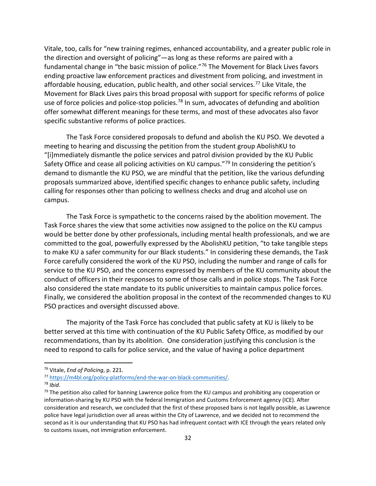Vitale, too, calls for "new training regimes, enhanced accountability, and a greater public role in the direction and oversight of policing"—as long as these reforms are paired with a fundamental change in "the basic mission of police."[76](#page-31-0) The Movement for Black Lives favors ending proactive law enforcement practices and divestment from policing, and investment in affordable housing, education, public health, and other social services.<sup>[77](#page-31-1)</sup> Like Vitale, the Movement for Black Lives pairs this broad proposal with support for specific reforms of police use of force policies and police-stop policies.<sup>[78](#page-31-2)</sup> In sum, advocates of defunding and abolition offer somewhat different meanings for these terms, and most of these advocates also favor specific substantive reforms of police practices.

The Task Force considered proposals to defund and abolish the KU PSO. We devoted a meeting to hearing and discussing the petition from the student group AbolishKU to "[i]mmediately dismantle the police services and patrol division provided by the KU Public Safety Office and cease all policing activities on KU campus."<sup>[79](#page-31-3)</sup> In considering the petition's demand to dismantle the KU PSO, we are mindful that the petition, like the various defunding proposals summarized above, identified specific changes to enhance public safety, including calling for responses other than policing to wellness checks and drug and alcohol use on campus.

The Task Force is sympathetic to the concerns raised by the abolition movement. The Task Force shares the view that some activities now assigned to the police on the KU campus would be better done by other professionals, including mental health professionals, and we are committed to the goal, powerfully expressed by the AbolishKU petition, "to take tangible steps to make KU a safer community for our Black students." In considering these demands, the Task Force carefully considered the work of the KU PSO, including the number and range of calls for service to the KU PSO, and the concerns expressed by members of the KU community about the conduct of officers in their responses to some of those calls and in police stops. The Task Force also considered the state mandate to its public universities to maintain campus police forces. Finally, we considered the abolition proposal in the context of the recommended changes to KU PSO practices and oversight discussed above.

The majority of the Task Force has concluded that public safety at KU is likely to be better served at this time with continuation of the KU Public Safety Office, as modified by our recommendations, than by its abolition. One consideration justifying this conclusion is the need to respond to calls for police service, and the value of having a police department

<span id="page-31-0"></span><sup>76</sup> Vitale, *End of Policing*, p. 221.

<span id="page-31-1"></span><sup>77</sup> [https://m4bl.org/policy-platforms/end-the-war-on-black-communities/.](https://m4bl.org/policy-platforms/end-the-war-on-black-communities/) 78 *Ibid*.

<span id="page-31-2"></span>

<span id="page-31-3"></span> $79$  The petition also called for banning Lawrence police from the KU campus and prohibiting any cooperation or information-sharing by KU PSO with the federal Immigration and Customs Enforcement agency (ICE). After consideration and research, we concluded that the first of these proposed bans is not legally possible, as Lawrence police have legal jurisdiction over all areas within the City of Lawrence, and we decided not to recommend the second as it is our understanding that KU PSO has had infrequent contact with ICE through the years related only to customs issues, not immigration enforcement.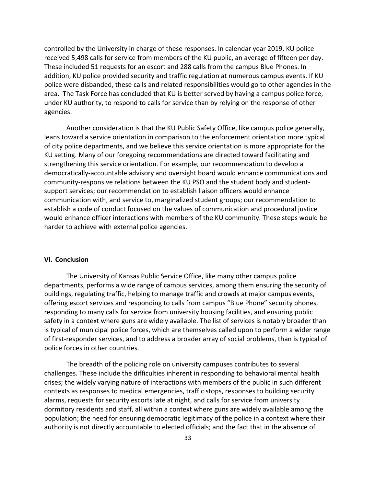controlled by the University in charge of these responses. In calendar year 2019, KU police received 5,498 calls for service from members of the KU public, an average of fifteen per day. These included 51 requests for an escort and 288 calls from the campus Blue Phones. In addition, KU police provided security and traffic regulation at numerous campus events. If KU police were disbanded, these calls and related responsibilities would go to other agencies in the area. The Task Force has concluded that KU is better served by having a campus police force, under KU authority, to respond to calls for service than by relying on the response of other agencies.

Another consideration is that the KU Public Safety Office, like campus police generally, leans toward a service orientation in comparison to the enforcement orientation more typical of city police departments, and we believe this service orientation is more appropriate for the KU setting. Many of our foregoing recommendations are directed toward facilitating and strengthening this service orientation. For example, our recommendation to develop a democratically-accountable advisory and oversight board would enhance communications and community-responsive relations between the KU PSO and the student body and studentsupport services; our recommendation to establish liaison officers would enhance communication with, and service to, marginalized student groups; our recommendation to establish a code of conduct focused on the values of communication and procedural justice would enhance officer interactions with members of the KU community. These steps would be harder to achieve with external police agencies.

# **VI. Conclusion**

The University of Kansas Public Service Office, like many other campus police departments, performs a wide range of campus services, among them ensuring the security of buildings, regulating traffic, helping to manage traffic and crowds at major campus events, offering escort services and responding to calls from campus "Blue Phone" security phones, responding to many calls for service from university housing facilities, and ensuring public safety in a context where guns are widely available. The list of services is notably broader than is typical of municipal police forces, which are themselves called upon to perform a wider range of first-responder services, and to address a broader array of social problems, than is typical of police forces in other countries.

The breadth of the policing role on university campuses contributes to several challenges. These include the difficulties inherent in responding to behavioral mental health crises; the widely varying nature of interactions with members of the public in such different contexts as responses to medical emergencies, traffic stops, responses to building security alarms, requests for security escorts late at night, and calls for service from university dormitory residents and staff, all within a context where guns are widely available among the population; the need for ensuring democratic legitimacy of the police in a context where their authority is not directly accountable to elected officials; and the fact that in the absence of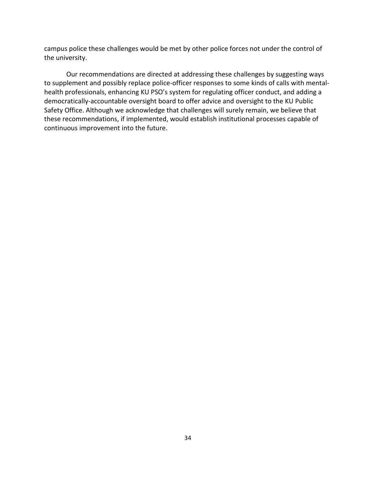campus police these challenges would be met by other police forces not under the control of the university.

Our recommendations are directed at addressing these challenges by suggesting ways to supplement and possibly replace police-officer responses to some kinds of calls with mentalhealth professionals, enhancing KU PSO's system for regulating officer conduct, and adding a democratically-accountable oversight board to offer advice and oversight to the KU Public Safety Office. Although we acknowledge that challenges will surely remain, we believe that these recommendations, if implemented, would establish institutional processes capable of continuous improvement into the future.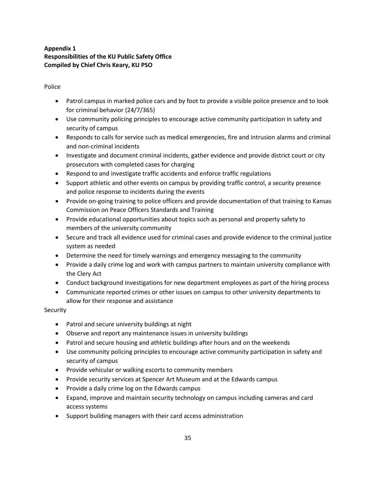# **Appendix 1 Responsibilities of the KU Public Safety Office Compiled by Chief Chris Keary, KU PSO**

# Police

- Patrol campus in marked police cars and by foot to provide a visible police presence and to look for criminal behavior (24/7/365)
- Use community policing principles to encourage active community participation in safety and security of campus
- Responds to calls for service such as medical emergencies, fire and intrusion alarms and criminal and non-criminal incidents
- Investigate and document criminal incidents, gather evidence and provide district court or city prosecutors with completed cases for charging
- Respond to and investigate traffic accidents and enforce traffic regulations
- Support athletic and other events on campus by providing traffic control, a security presence and police response to incidents during the events
- Provide on-going training to police officers and provide documentation of that training to Kansas Commission on Peace Officers Standards and Training
- Provide educational opportunities about topics such as personal and property safety to members of the university community
- Secure and track all evidence used for criminal cases and provide evidence to the criminal justice system as needed
- Determine the need for timely warnings and emergency messaging to the community
- Provide a daily crime log and work with campus partners to maintain university compliance with the Clery Act
- Conduct background investigations for new department employees as part of the hiring process
- Communicate reported crimes or other issues on campus to other university departments to allow for their response and assistance

# **Security**

- Patrol and secure university buildings at night
- Observe and report any maintenance issues in university buildings
- Patrol and secure housing and athletic buildings after hours and on the weekends
- Use community policing principles to encourage active community participation in safety and security of campus
- Provide vehicular or walking escorts to community members
- Provide security services at Spencer Art Museum and at the Edwards campus
- Provide a daily crime log on the Edwards campus
- Expand, improve and maintain security technology on campus including cameras and card access systems
- Support building managers with their card access administration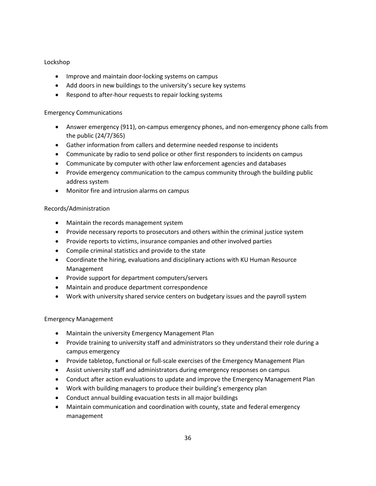# Lockshop

- Improve and maintain door-locking systems on campus
- Add doors in new buildings to the university's secure key systems
- Respond to after-hour requests to repair locking systems

# Emergency Communications

- Answer emergency (911), on-campus emergency phones, and non-emergency phone calls from the public (24/7/365)
- Gather information from callers and determine needed response to incidents
- Communicate by radio to send police or other first responders to incidents on campus
- Communicate by computer with other law enforcement agencies and databases
- Provide emergency communication to the campus community through the building public address system
- Monitor fire and intrusion alarms on campus

## Records/Administration

- Maintain the records management system
- Provide necessary reports to prosecutors and others within the criminal justice system
- Provide reports to victims, insurance companies and other involved parties
- Compile criminal statistics and provide to the state
- Coordinate the hiring, evaluations and disciplinary actions with KU Human Resource Management
- Provide support for department computers/servers
- Maintain and produce department correspondence
- Work with university shared service centers on budgetary issues and the payroll system

# Emergency Management

- Maintain the university Emergency Management Plan
- Provide training to university staff and administrators so they understand their role during a campus emergency
- Provide tabletop, functional or full-scale exercises of the Emergency Management Plan
- Assist university staff and administrators during emergency responses on campus
- Conduct after action evaluations to update and improve the Emergency Management Plan
- Work with building managers to produce their building's emergency plan
- Conduct annual building evacuation tests in all major buildings
- Maintain communication and coordination with county, state and federal emergency management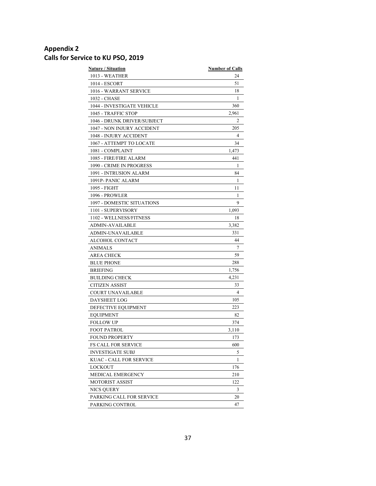# **Appendix 2 Calls for Service to KU PSO, 2019**

| <b>Nature / Situation</b>   | <b>Number of Calls</b> |
|-----------------------------|------------------------|
| 1013 - WEATHER              | 24                     |
| 1014 - ESCORT               | 51                     |
| 1016 - WARRANT SERVICE      | 18                     |
| 1032 - CHASE                | 1                      |
| 1044 - INVESTIGATE VEHICLE  | 360                    |
| 1045 - TRAFFIC STOP         | 2,961                  |
| 1046 - DRUNK DRIVER/SUBJECT | 2                      |
| 1047 - NON INJURY ACCIDENT  | 205                    |
| 1048 - INJURY ACCIDENT      | 4                      |
| 1067 - ATTEMPT TO LOCATE    | 34                     |
| 1081 - COMPLAINT            | 1,473                  |
| 1085 - FIRE/FIRE ALARM      | 441                    |
| 1090 - CRIME IN PROGRESS    | 1                      |
| 1091 - INTRUSION ALARM      | 84                     |
| 1091P-PANIC ALARM           | 1                      |
| 1095 - FIGHT                | 11                     |
| 1096 - PROWLER              | 1                      |
| 1097 - DOMESTIC SITUATIONS  | 9                      |
| 1101 - SUPERVISORY          | 1,093                  |
| 1102 - WELLNESS/FITNESS     | 18                     |
| <b>ADMIN-AVAILABLE</b>      | 3,382                  |
| <b>ADMIN-UNAVAILABLE</b>    | 331                    |
| ALCOHOL CONTACT             | 44                     |
| ANIMALS                     | 7                      |
| <b>AREA CHECK</b>           | 59                     |
| <b>BLUE PHONE</b>           | 288                    |
| <b>BRIEFING</b>             | 1,756                  |
| BUILDING CHECK              | 4,231                  |
| <b>CITIZEN ASSIST</b>       | 33                     |
| COURT UNAVAILABLE           | 4                      |
| <b>DAYSHEET LOG</b>         | 105                    |
| DEFECTIVE EQUIPMENT         | 223                    |
| EQUIPMENT                   | 82                     |
| <b>FOLLOW UP</b>            | 374                    |
| <b>FOOT PATROL</b>          | 3,110                  |
| <b>FOUND PROPERTY</b>       | 173                    |
| <b>FS CALL FOR SERVICE</b>  | 600                    |
| INVESTIGATE SUBJ            | 5                      |
| KUAC - CALL FOR SERVICE     | 1                      |
| LOCKOUT                     | 176                    |
| MEDICAL EMERGENCY           | 210                    |
| MOTORIST ASSIST             | 122                    |
| NICS QUERY                  | 3                      |
| PARKING CALL FOR SERVICE    | 20                     |
| PARKING CONTROL             | 47                     |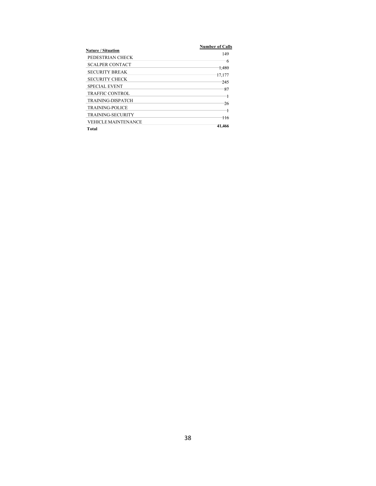| <b>Nature / Situation</b>  | <b>Number of Calls</b> |
|----------------------------|------------------------|
|                            | 149                    |
| PEDESTRIAN CHECK           | ᠊ <del>त</del>         |
| <b>SCALPER CONTACT</b>     |                        |
| <b>SECURITY BREAK</b>      | 1.480                  |
| <b>SECURITY CHECK</b>      | 17.177                 |
|                            | 245                    |
| <b>SPECIAL EVENT</b>       | 87                     |
| <b>TRAFFIC CONTROL</b>     |                        |
| <b>TRAINING-DISPATCH</b>   | 26                     |
| <b>TRAINING-POLICE</b>     |                        |
| <b>TRAINING-SECURITY</b>   | 116                    |
| <b>VEHICLE MAINTENANCE</b> |                        |
| Total                      | 41.466                 |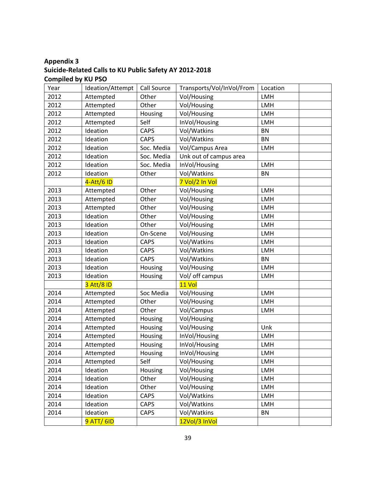# **Appendix 3 Suicide-Related Calls to KU Public Safety AY 2012-2018 Compiled by KU PSO**

| Year | Ideation/Attempt  | Call Source | Transports/Vol/InVol/From | Location  |
|------|-------------------|-------------|---------------------------|-----------|
| 2012 | Attempted         | Other       | Vol/Housing               | LMH       |
| 2012 | Attempted         | Other       | Vol/Housing               | LMH       |
| 2012 | Attempted         | Housing     | Vol/Housing               | LMH       |
| 2012 | Attempted         | Self        | InVol/Housing             | LMH       |
| 2012 | Ideation          | <b>CAPS</b> | Vol/Watkins               | <b>BN</b> |
| 2012 | Ideation          | <b>CAPS</b> | Vol/Watkins               | <b>BN</b> |
| 2012 | Ideation          | Soc. Media  | Vol/Campus Area           | LMH       |
| 2012 | Ideation          | Soc. Media  | Unk out of campus area    |           |
| 2012 | Ideation          | Soc. Media  | InVol/Housing             | LMH       |
| 2012 | Ideation          | Other       | Vol/Watkins               | <b>BN</b> |
|      | 4-Att/6 ID        |             | 7 Vol/2 In Vol            |           |
| 2013 | Attempted         | Other       | Vol/Housing               | LMH       |
| 2013 | Attempted         | Other       | Vol/Housing               | LMH       |
| 2013 | Attempted         | Other       | Vol/Housing               | LMH       |
| 2013 | Ideation          | Other       | Vol/Housing               | LMH       |
| 2013 | Ideation          | Other       | Vol/Housing               | LMH       |
| 2013 | Ideation          | On-Scene    | Vol/Housing               | LMH       |
| 2013 | Ideation          | <b>CAPS</b> | Vol/Watkins               | LMH       |
| 2013 | Ideation          | CAPS        | Vol/Watkins               | LMH       |
| 2013 | Ideation          | <b>CAPS</b> | Vol/Watkins               | <b>BN</b> |
| 2013 | Ideation          | Housing     | Vol/Housing               | LMH       |
| 2013 | Ideation          | Housing     | Vol/ off campus           | LMH       |
|      | 3 Att/8 ID        |             | 11 Vol                    |           |
| 2014 | Attempted         | Soc Media   | Vol/Housing               | LMH       |
| 2014 | Attempted         | Other       | Vol/Housing               | LMH       |
| 2014 | Attempted         | Other       | Vol/Campus                | LMH       |
| 2014 | Attempted         | Housing     | Vol/Housing               |           |
| 2014 | Attempted         | Housing     | Vol/Housing               | Unk       |
| 2014 | Attempted         | Housing     | InVol/Housing             | LMH       |
| 2014 | Attempted         | Housing     | InVol/Housing             | LMH       |
| 2014 | Attempted         | Housing     | InVol/Housing             | LMH       |
| 2014 | Attempted         | Self        | Vol/Housing               | LMH       |
| 2014 | Ideation          | Housing     | Vol/Housing               | LMH       |
| 2014 | Ideation          | Other       | Vol/Housing               | LMH       |
| 2014 | Ideation          | Other       | Vol/Housing               | LMH       |
| 2014 | Ideation          | CAPS        | Vol/Watkins               | LMH       |
| 2014 | Ideation          | CAPS        | Vol/Watkins               | LMH       |
| 2014 | Ideation          | CAPS        | Vol/Watkins               | BN        |
|      | <b>9 ATT/ 6ID</b> |             | 12Vol/3 InVol             |           |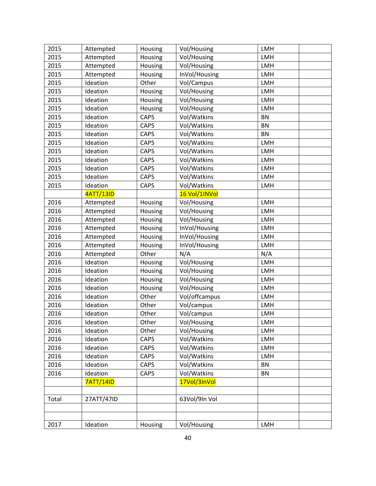| 2015  | Attempted        | Housing     | Vol/Housing   | LMH        |  |
|-------|------------------|-------------|---------------|------------|--|
| 2015  | Attempted        | Housing     | Vol/Housing   | <b>LMH</b> |  |
| 2015  | Attempted        | Housing     | Vol/Housing   | LMH        |  |
| 2015  | Attempted        | Housing     | InVol/Housing | LMH        |  |
| 2015  | Ideation         | Other       | Vol/Campus    | LMH        |  |
| 2015  | Ideation         | Housing     | Vol/Housing   | LMH        |  |
| 2015  | Ideation         | Housing     | Vol/Housing   | <b>LMH</b> |  |
| 2015  | Ideation         | Housing     | Vol/Housing   | LMH        |  |
| 2015  | Ideation         | <b>CAPS</b> | Vol/Watkins   | <b>BN</b>  |  |
| 2015  | Ideation         | <b>CAPS</b> | Vol/Watkins   | <b>BN</b>  |  |
| 2015  | Ideation         | <b>CAPS</b> | Vol/Watkins   | <b>BN</b>  |  |
| 2015  | Ideation         | <b>CAPS</b> | Vol/Watkins   | LMH        |  |
| 2015  | Ideation         | <b>CAPS</b> | Vol/Watkins   | LMH        |  |
| 2015  | Ideation         | <b>CAPS</b> | Vol/Watkins   | LMH        |  |
| 2015  | Ideation         | <b>CAPS</b> | Vol/Watkins   | LMH        |  |
| 2015  | Ideation         | <b>CAPS</b> | Vol/Watkins   | LMH        |  |
| 2015  | Ideation         | <b>CAPS</b> | Vol/Watkins   | LMH        |  |
|       | 4ATT/13ID        |             | 16 Vol/1INVol |            |  |
| 2016  | Attempted        | Housing     | Vol/Housing   | LMH        |  |
| 2016  | Attempted        | Housing     | Vol/Housing   | LMH        |  |
| 2016  | Attempted        | Housing     | Vol/Housing   | LMH        |  |
| 2016  | Attempted        | Housing     | InVol/Housing | LMH        |  |
| 2016  | Attempted        | Housing     | InVol/Housing | LMH        |  |
| 2016  | Attempted        | Housing     | InVol/Housing | LMH        |  |
| 2016  | Attempted        | Other       | N/A           | N/A        |  |
| 2016  | Ideation         | Housing     | Vol/Housing   | LMH        |  |
| 2016  | Ideation         | Housing     | Vol/Housing   | <b>LMH</b> |  |
| 2016  | Ideation         | Housing     | Vol/Housing   | LMH        |  |
| 2016  | Ideation         | Housing     | Vol/Housing   | <b>LMH</b> |  |
| 2016  | Ideation         | Other       | Vol/offcampus | LMH        |  |
| 2016  | Ideation         | Other       | Vol/campus    | LMH        |  |
| 2016  | Ideation         | Other       | Vol/campus    | LMH        |  |
| 2016  | Ideation         | Other       | Vol/Housing   | LMH        |  |
| 2016  | Ideation         | Other       | Vol/Housing   | LMH        |  |
| 2016  | Ideation         | CAPS        | Vol/Watkins   | <b>LMH</b> |  |
| 2016  | Ideation         | CAPS        | Vol/Watkins   | LMH        |  |
| 2016  | Ideation         | <b>CAPS</b> | Vol/Watkins   | LMH        |  |
| 2016  | Ideation         | CAPS        | Vol/Watkins   | BN         |  |
| 2016  | Ideation         | CAPS        | Vol/Watkins   | BN         |  |
|       | <b>7ATT/14ID</b> |             | 17Vol/3InVol  |            |  |
|       |                  |             |               |            |  |
| Total | 27ATT/47ID       |             | 63Vol/9In Vol |            |  |
|       |                  |             |               |            |  |
|       |                  |             |               |            |  |
| 2017  | Ideation         | Housing     | Vol/Housing   | LMH        |  |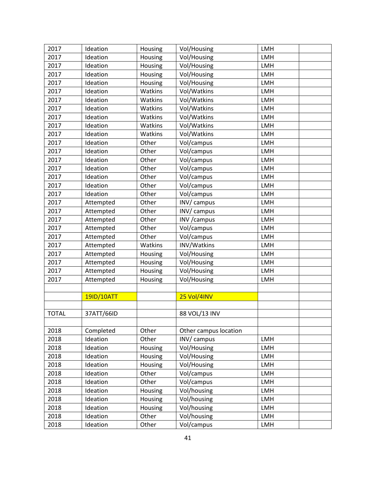| 2017         | Ideation   | Housing | Vol/Housing           | LMH        |
|--------------|------------|---------|-----------------------|------------|
| 2017         | Ideation   | Housing | Vol/Housing           | <b>LMH</b> |
| 2017         | Ideation   | Housing | Vol/Housing           | LMH        |
| 2017         | Ideation   | Housing | Vol/Housing           | LMH        |
| 2017         | Ideation   | Housing | Vol/Housing           | LMH        |
| 2017         | Ideation   | Watkins | Vol/Watkins           | LMH        |
| 2017         | Ideation   | Watkins | Vol/Watkins           | LMH        |
| 2017         | Ideation   | Watkins | Vol/Watkins           | LMH        |
| 2017         | Ideation   | Watkins | Vol/Watkins           | LMH        |
| 2017         | Ideation   | Watkins | Vol/Watkins           | <b>LMH</b> |
| 2017         | Ideation   | Watkins | Vol/Watkins           | LMH        |
| 2017         | Ideation   | Other   | Vol/campus            | LMH        |
| 2017         | Ideation   | Other   | Vol/campus            | LMH        |
| 2017         | Ideation   | Other   | Vol/campus            | LMH        |
| 2017         | Ideation   | Other   | Vol/campus            | LMH        |
| 2017         | Ideation   | Other   | Vol/campus            | LMH        |
| 2017         | Ideation   | Other   | Vol/campus            | LMH        |
| 2017         | Ideation   | Other   | Vol/campus            | <b>LMH</b> |
| 2017         | Attempted  | Other   | INV/ campus           | LMH        |
| 2017         | Attempted  | Other   | INV/ campus           | LMH        |
| 2017         | Attempted  | Other   | INV / campus          | LMH        |
| 2017         | Attempted  | Other   | Vol/campus            | LMH        |
| 2017         | Attempted  | Other   | Vol/campus            | LMH        |
| 2017         | Attempted  | Watkins | INV/Watkins           | LMH        |
| 2017         | Attempted  | Housing | Vol/Housing           | LMH        |
| 2017         | Attempted  | Housing | Vol/Housing           | LMH        |
| 2017         | Attempted  | Housing | Vol/Housing           | LMH        |
| 2017         | Attempted  | Housing | Vol/Housing           | LMH        |
|              |            |         |                       |            |
|              | 19ID/10ATT |         | 25 Vol/4INV           |            |
|              |            |         |                       |            |
| <b>TOTAL</b> | 37ATT/66ID |         | 88 VOL/13 INV         |            |
|              |            |         |                       |            |
| 2018         | Completed  | Other   | Other campus location |            |
| 2018         | Ideation   | Other   | INV/ campus           | LMH        |
| 2018         | Ideation   | Housing | Vol/Housing           | <b>LMH</b> |
| 2018         | Ideation   | Housing | Vol/Housing           | LMH        |
| 2018         | Ideation   | Housing | Vol/Housing           | LMH        |
| 2018         | Ideation   | Other   | Vol/campus            | <b>LMH</b> |
| 2018         | Ideation   | Other   | Vol/campus            | LMH        |
| 2018         | Ideation   | Housing | Vol/housing           | <b>LMH</b> |
| 2018         | Ideation   | Housing | Vol/housing           | LMH        |
| 2018         | Ideation   | Housing | Vol/housing           | LMH        |
| 2018         | Ideation   | Other   | Vol/housing           | LMH        |
| 2018         | Ideation   | Other   | Vol/campus            | LMH        |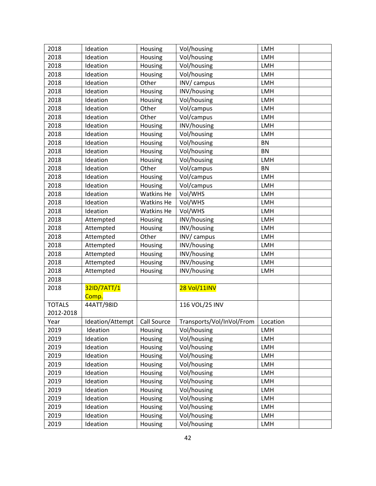| 2018          | Ideation             | Housing           | Vol/housing               | LMH        |  |
|---------------|----------------------|-------------------|---------------------------|------------|--|
| 2018          | Ideation             | Housing           | Vol/housing               | <b>LMH</b> |  |
| 2018          | Ideation             | Housing           | Vol/housing               | LMH        |  |
| 2018          | Ideation             | Housing           | Vol/housing               | LMH        |  |
| 2018          | Ideation             | Other             | INV/ campus               | LMH        |  |
| 2018          | Ideation             | Housing           | INV/housing               | LMH        |  |
| 2018          | Ideation             | Housing           | Vol/housing               | LMH        |  |
| 2018          | Ideation             | Other             | Vol/campus                | LMH        |  |
| 2018          | Ideation             | Other             | Vol/campus                | LMH        |  |
| 2018          | Ideation             | Housing           | INV/housing               | LMH        |  |
| 2018          | Ideation             | Housing           | Vol/housing               | LMH        |  |
| 2018          | Ideation             | Housing           | Vol/housing               | <b>BN</b>  |  |
| 2018          | Ideation             | Housing           | Vol/housing               | <b>BN</b>  |  |
| 2018          | Ideation             | Housing           | Vol/housing               | <b>LMH</b> |  |
| 2018          | Ideation             | Other             | Vol/campus                | <b>BN</b>  |  |
| 2018          | Ideation             | Housing           | Vol/campus                | LMH        |  |
| 2018          | Ideation             | Housing           | Vol/campus                | LMH        |  |
| 2018          | Ideation             | Watkins He        | Vol/WHS                   | <b>LMH</b> |  |
| 2018          | Ideation             | <b>Watkins He</b> | Vol/WHS                   | LMH        |  |
| 2018          | Ideation             | <b>Watkins He</b> | Vol/WHS                   | <b>LMH</b> |  |
| 2018          | Attempted            | Housing           | INV/housing               | <b>LMH</b> |  |
| 2018          | Attempted            | Housing           | INV/housing               | LMH        |  |
| 2018          | Attempted            | Other             | INV/ campus               | LMH        |  |
| 2018          | Attempted            | Housing           | INV/housing               | <b>LMH</b> |  |
| 2018          | Attempted            | Housing           | INV/housing               | LMH        |  |
| 2018          | Attempted            | Housing           | INV/housing               | LMH        |  |
| 2018          | Attempted            | Housing           | INV/housing               | LMH        |  |
| 2018          |                      |                   |                           |            |  |
| 2018          | 32ID/7ATT/1<br>Comp. |                   | 28 Vol/11INV              |            |  |
| <b>TOTALS</b> | 44ATT/98ID           |                   | 116 VOL/25 INV            |            |  |
| 2012-2018     |                      |                   |                           |            |  |
| Year          | Ideation/Attempt     | Call Source       | Transports/Vol/InVol/From | Location   |  |
| 2019          | Ideation             | Housing           | Vol/housing               | LMH        |  |
| 2019          | Ideation             | Housing           | Vol/housing               | LMH        |  |
| 2019          | Ideation             | Housing           | Vol/housing               | LMH        |  |
| 2019          | Ideation             | Housing           | Vol/housing               | LMH        |  |
| 2019          | Ideation             | Housing           | Vol/housing               | LMH        |  |
| 2019          | Ideation             | Housing           | Vol/housing               | LMH        |  |
| 2019          | Ideation             | Housing           | Vol/housing               | LMH        |  |
| 2019          | Ideation             | Housing           | Vol/housing               | LMH        |  |
| 2019          | Ideation             | Housing           | Vol/housing               | <b>LMH</b> |  |
| 2019          | Ideation             | Housing           | Vol/housing               | LMH        |  |
| 2019          | Ideation             | Housing           | Vol/housing               | LMH        |  |
| 2019          | Ideation             | Housing           | Vol/housing               | LMH        |  |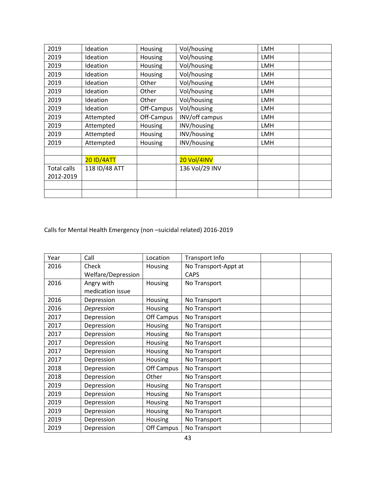| 2019        | Ideation          | Housing        | Vol/housing        | <b>LMH</b> |
|-------------|-------------------|----------------|--------------------|------------|
| 2019        | Ideation          | Housing        | Vol/housing        | <b>LMH</b> |
| 2019        | Ideation          | Housing        | Vol/housing        | <b>LMH</b> |
| 2019        | Ideation          | Housing        | Vol/housing        | <b>LMH</b> |
| 2019        | Ideation          | Other          | Vol/housing        | LMH        |
| 2019        | Ideation          | Other          | Vol/housing        | <b>LMH</b> |
| 2019        | Ideation          | Other          | Vol/housing        | <b>LMH</b> |
| 2019        | Ideation          | Off-Campus     | Vol/housing        | <b>LMH</b> |
| 2019        | Attempted         | Off-Campus     | INV/off campus     | <b>LMH</b> |
| 2019        | Attempted         | Housing        | INV/housing        | LMH        |
| 2019        | Attempted         | Housing        | INV/housing        | LMH        |
| 2019        | Attempted         | <b>Housing</b> | INV/housing        | LMH        |
|             |                   |                |                    |            |
|             | <b>20 ID/4ATT</b> |                | <b>20 Vol/4INV</b> |            |
| Total calls | 118 ID/48 ATT     |                | 136 Vol/29 INV     |            |
| 2012-2019   |                   |                |                    |            |
|             |                   |                |                    |            |
|             |                   |                |                    |            |

Calls for Mental Health Emergency (non –suicidal related) 2016-2019

| Year | Call               | Location   | Transport Info       |  |
|------|--------------------|------------|----------------------|--|
| 2016 | Check              | Housing    | No Transport-Appt at |  |
|      | Welfare/Depression |            | <b>CAPS</b>          |  |
| 2016 | Angry with         | Housing    | No Transport         |  |
|      | medication issue   |            |                      |  |
| 2016 | Depression         | Housing    | No Transport         |  |
| 2016 | Depression         | Housing    | No Transport         |  |
| 2017 | Depression         | Off Campus | No Transport         |  |
| 2017 | Depression         | Housing    | No Transport         |  |
| 2017 | Depression         | Housing    | No Transport         |  |
| 2017 | Depression         | Housing    | No Transport         |  |
| 2017 | Depression         | Housing    | No Transport         |  |
| 2017 | Depression         | Housing    | No Transport         |  |
| 2018 | Depression         | Off Campus | No Transport         |  |
| 2018 | Depression         | Other      | No Transport         |  |
| 2019 | Depression         | Housing    | No Transport         |  |
| 2019 | Depression         | Housing    | No Transport         |  |
| 2019 | Depression         | Housing    | No Transport         |  |
| 2019 | Depression         | Housing    | No Transport         |  |
| 2019 | Depression         | Housing    | No Transport         |  |
| 2019 | Depression         | Off Campus | No Transport         |  |